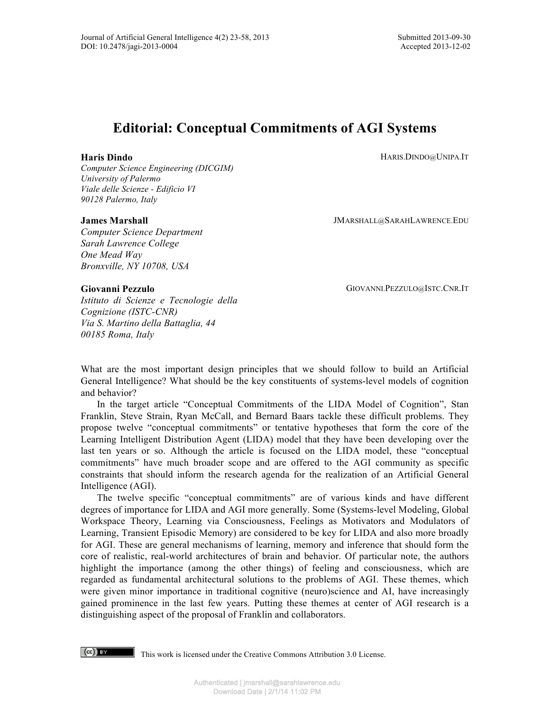HARIS.DINDO@UNIPA.IT

# **Editorial: Conceptual Commitments of AGI Systems**

## **Haris Dindo**

*Computer Science Engineering (DICGIM) University of Palermo Viale delle Scienze - Edificio VI 90128 Palermo, Italy*

## **James Marshall**

*Computer Science Department Sarah Lawrence College One Mead Way Bronxville, NY 10708, USA*

GIOVANNI.PEZZULO@ISTC.CNR.IT

JMARSHALL@SARAHLAWRENCE.EDU

## **Giovanni Pezzulo**

*Istituto di Scienze e Tecnologie della Cognizione (ISTC-CNR) Via S. Martino della Battaglia, 44 00185 Roma, Italy*

What are the most important design principles that we should follow to build an Artificial General Intelligence? What should be the key constituents of systems-level models of cognition and behavior?

In the target article "Conceptual Commitments of the LIDA Model of Cognition", Stan Franklin, Steve Strain, Ryan McCall, and Bernard Baars tackle these difficult problems. They propose twelve "conceptual commitments" or tentative hypotheses that form the core of the Learning Intelligent Distribution Agent (LIDA) model that they have been developing over the last ten years or so. Although the article is focused on the LIDA model, these "conceptual commitments" have much broader scope and are offered to the AGI community as specific constraints that should inform the research agenda for the realization of an Artificial General Intelligence (AGI).

The twelve specific "conceptual commitments" are of various kinds and have different degrees of importance for LIDA and AGI more generally. Some (Systems-level Modeling, Global Workspace Theory, Learning via Consciousness, Feelings as Motivators and Modulators of Learning, Transient Episodic Memory) are considered to be key for LIDA and also more broadly for AGI. These are general mechanisms of learning, memory and inference that should form the core of realistic, real-world architectures of brain and behavior. Of particular note, the authors highlight the importance (among the other things) of feeling and consciousness, which are regarded as fundamental architectural solutions to the problems of AGI. These themes, which were given minor importance in traditional cognitive (neuro)science and AI, have increasingly gained prominence in the last few years. Putting these themes at center of AGI research is a distinguishing aspect of the proposal of Franklin and collaborators.

This work is licensed under the Creative Commons Attribution 3.0 License.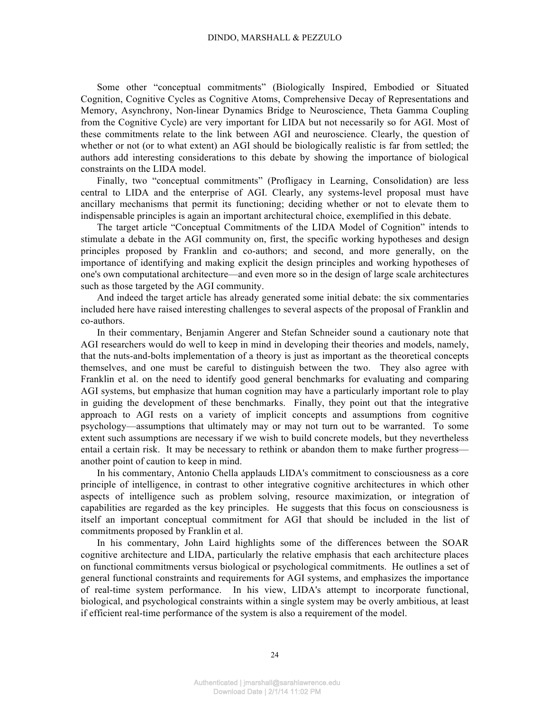Some other "conceptual commitments" (Biologically Inspired, Embodied or Situated Cognition, Cognitive Cycles as Cognitive Atoms, Comprehensive Decay of Representations and Memory, Asynchrony, Non-linear Dynamics Bridge to Neuroscience, Theta Gamma Coupling from the Cognitive Cycle) are very important for LIDA but not necessarily so for AGI. Most of these commitments relate to the link between AGI and neuroscience. Clearly, the question of whether or not (or to what extent) an AGI should be biologically realistic is far from settled; the authors add interesting considerations to this debate by showing the importance of biological constraints on the LIDA model.

Finally, two "conceptual commitments" (Profligacy in Learning, Consolidation) are less central to LIDA and the enterprise of AGI. Clearly, any systems-level proposal must have ancillary mechanisms that permit its functioning; deciding whether or not to elevate them to indispensable principles is again an important architectural choice, exemplified in this debate.

The target article "Conceptual Commitments of the LIDA Model of Cognition" intends to stimulate a debate in the AGI community on, first, the specific working hypotheses and design principles proposed by Franklin and co-authors; and second, and more generally, on the importance of identifying and making explicit the design principles and working hypotheses of one's own computational architecture—and even more so in the design of large scale architectures such as those targeted by the AGI community.

And indeed the target article has already generated some initial debate: the six commentaries included here have raised interesting challenges to several aspects of the proposal of Franklin and co-authors.

In their commentary, Benjamin Angerer and Stefan Schneider sound a cautionary note that AGI researchers would do well to keep in mind in developing their theories and models, namely, that the nuts-and-bolts implementation of a theory is just as important as the theoretical concepts themselves, and one must be careful to distinguish between the two. They also agree with Franklin et al. on the need to identify good general benchmarks for evaluating and comparing AGI systems, but emphasize that human cognition may have a particularly important role to play in guiding the development of these benchmarks. Finally, they point out that the integrative approach to AGI rests on a variety of implicit concepts and assumptions from cognitive psychology—assumptions that ultimately may or may not turn out to be warranted. To some extent such assumptions are necessary if we wish to build concrete models, but they nevertheless entail a certain risk. It may be necessary to rethink or abandon them to make further progress another point of caution to keep in mind.

In his commentary, Antonio Chella applauds LIDA's commitment to consciousness as a core principle of intelligence, in contrast to other integrative cognitive architectures in which other aspects of intelligence such as problem solving, resource maximization, or integration of capabilities are regarded as the key principles. He suggests that this focus on consciousness is itself an important conceptual commitment for AGI that should be included in the list of commitments proposed by Franklin et al.

In his commentary, John Laird highlights some of the differences between the SOAR cognitive architecture and LIDA, particularly the relative emphasis that each architecture places on functional commitments versus biological or psychological commitments. He outlines a set of general functional constraints and requirements for AGI systems, and emphasizes the importance of real-time system performance. In his view, LIDA's attempt to incorporate functional, biological, and psychological constraints within a single system may be overly ambitious, at least if efficient real-time performance of the system is also a requirement of the model.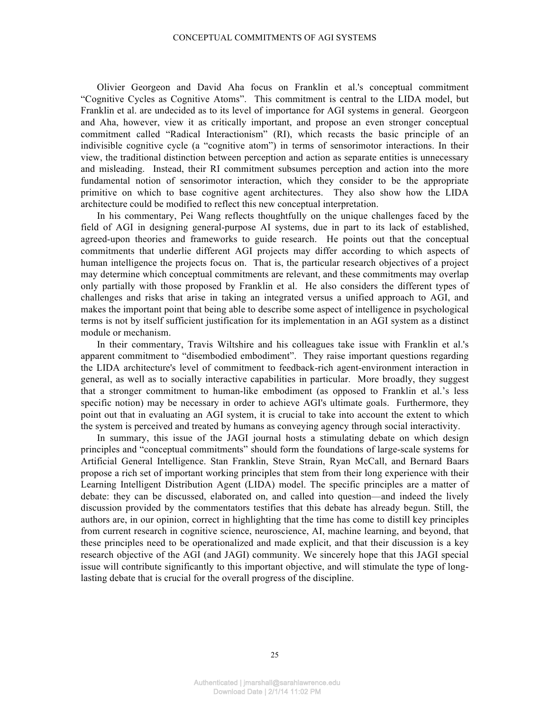Olivier Georgeon and David Aha focus on Franklin et al.'s conceptual commitment "Cognitive Cycles as Cognitive Atoms". This commitment is central to the LIDA model, but Franklin et al. are undecided as to its level of importance for AGI systems in general. Georgeon and Aha, however, view it as critically important, and propose an even stronger conceptual commitment called "Radical Interactionism" (RI), which recasts the basic principle of an indivisible cognitive cycle (a "cognitive atom") in terms of sensorimotor interactions. In their view, the traditional distinction between perception and action as separate entities is unnecessary and misleading. Instead, their RI commitment subsumes perception and action into the more fundamental notion of sensorimotor interaction, which they consider to be the appropriate primitive on which to base cognitive agent architectures. They also show how the LIDA architecture could be modified to reflect this new conceptual interpretation.

In his commentary, Pei Wang reflects thoughtfully on the unique challenges faced by the field of AGI in designing general-purpose AI systems, due in part to its lack of established, agreed-upon theories and frameworks to guide research. He points out that the conceptual commitments that underlie different AGI projects may differ according to which aspects of human intelligence the projects focus on. That is, the particular research objectives of a project may determine which conceptual commitments are relevant, and these commitments may overlap only partially with those proposed by Franklin et al. He also considers the different types of challenges and risks that arise in taking an integrated versus a unified approach to AGI, and makes the important point that being able to describe some aspect of intelligence in psychological terms is not by itself sufficient justification for its implementation in an AGI system as a distinct module or mechanism.

In their commentary, Travis Wiltshire and his colleagues take issue with Franklin et al.'s apparent commitment to "disembodied embodiment". They raise important questions regarding the LIDA architecture's level of commitment to feedback-rich agent-environment interaction in general, as well as to socially interactive capabilities in particular. More broadly, they suggest that a stronger commitment to human-like embodiment (as opposed to Franklin et al.'s less specific notion) may be necessary in order to achieve AGI's ultimate goals. Furthermore, they point out that in evaluating an AGI system, it is crucial to take into account the extent to which the system is perceived and treated by humans as conveying agency through social interactivity.

In summary, this issue of the JAGI journal hosts a stimulating debate on which design principles and "conceptual commitments" should form the foundations of large-scale systems for Artificial General Intelligence. Stan Franklin, Steve Strain, Ryan McCall, and Bernard Baars propose a rich set of important working principles that stem from their long experience with their Learning Intelligent Distribution Agent (LIDA) model. The specific principles are a matter of debate: they can be discussed, elaborated on, and called into question—and indeed the lively discussion provided by the commentators testifies that this debate has already begun. Still, the authors are, in our opinion, correct in highlighting that the time has come to distill key principles from current research in cognitive science, neuroscience, AI, machine learning, and beyond, that these principles need to be operationalized and made explicit, and that their discussion is a key research objective of the AGI (and JAGI) community. We sincerely hope that this JAGI special issue will contribute significantly to this important objective, and will stimulate the type of longlasting debate that is crucial for the overall progress of the discipline.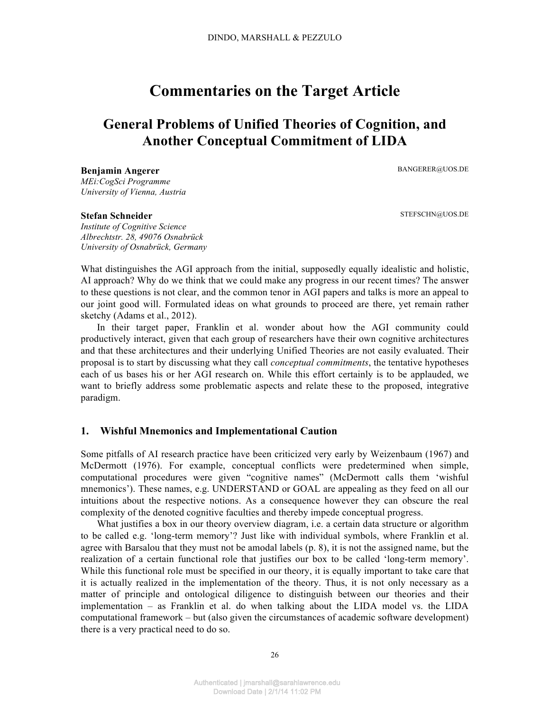# **Commentaries on the Target Article**

# **General Problems of Unified Theories of Cognition, and Another Conceptual Commitment of LIDA**

BANGERER@UOS.DE

**Benjamin Angerer** *MEi:CogSci Programme University of Vienna, Austria*

#### **Stefan Schneider**

*Institute of Cognitive Science Albrechtstr. 28, 49076 Osnabrück University of Osnabrück, Germany* STEFSCHN@UOS.DE

What distinguishes the AGI approach from the initial, supposedly equally idealistic and holistic, AI approach? Why do we think that we could make any progress in our recent times? The answer to these questions is not clear, and the common tenor in AGI papers and talks is more an appeal to our joint good will. Formulated ideas on what grounds to proceed are there, yet remain rather sketchy (Adams et al., 2012).

In their target paper, Franklin et al. wonder about how the AGI community could productively interact, given that each group of researchers have their own cognitive architectures and that these architectures and their underlying Unified Theories are not easily evaluated. Their proposal is to start by discussing what they call *conceptual commitments*, the tentative hypotheses each of us bases his or her AGI research on. While this effort certainly is to be applauded, we want to briefly address some problematic aspects and relate these to the proposed, integrative paradigm.

# **1. Wishful Mnemonics and Implementational Caution**

Some pitfalls of AI research practice have been criticized very early by Weizenbaum (1967) and McDermott (1976). For example, conceptual conflicts were predetermined when simple, computational procedures were given "cognitive names" (McDermott calls them 'wishful mnemonics'). These names, e.g. UNDERSTAND or GOAL are appealing as they feed on all our intuitions about the respective notions. As a consequence however they can obscure the real complexity of the denoted cognitive faculties and thereby impede conceptual progress.

What justifies a box in our theory overview diagram, *i.e.* a certain data structure or algorithm to be called e.g. 'long-term memory'? Just like with individual symbols, where Franklin et al. agree with Barsalou that they must not be amodal labels (p. 8), it is not the assigned name, but the realization of a certain functional role that justifies our box to be called 'long-term memory'. While this functional role must be specified in our theory, it is equally important to take care that it is actually realized in the implementation of the theory. Thus, it is not only necessary as a matter of principle and ontological diligence to distinguish between our theories and their implementation – as Franklin et al. do when talking about the LIDA model vs. the LIDA computational framework – but (also given the circumstances of academic software development) there is a very practical need to do so.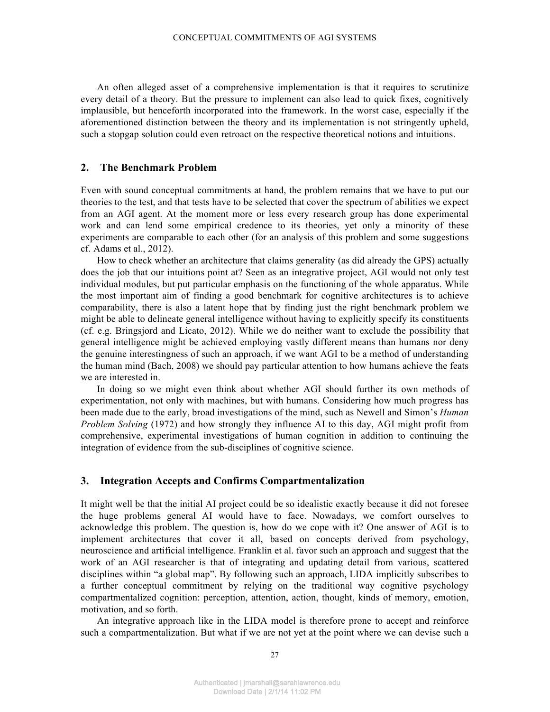An often alleged asset of a comprehensive implementation is that it requires to scrutinize every detail of a theory. But the pressure to implement can also lead to quick fixes, cognitively implausible, but henceforth incorporated into the framework. In the worst case, especially if the aforementioned distinction between the theory and its implementation is not stringently upheld, such a stopgap solution could even retroact on the respective theoretical notions and intuitions.

# **2. The Benchmark Problem**

Even with sound conceptual commitments at hand, the problem remains that we have to put our theories to the test, and that tests have to be selected that cover the spectrum of abilities we expect from an AGI agent. At the moment more or less every research group has done experimental work and can lend some empirical credence to its theories, yet only a minority of these experiments are comparable to each other (for an analysis of this problem and some suggestions cf. Adams et al., 2012).

How to check whether an architecture that claims generality (as did already the GPS) actually does the job that our intuitions point at? Seen as an integrative project, AGI would not only test individual modules, but put particular emphasis on the functioning of the whole apparatus. While the most important aim of finding a good benchmark for cognitive architectures is to achieve comparability, there is also a latent hope that by finding just the right benchmark problem we might be able to delineate general intelligence without having to explicitly specify its constituents (cf. e.g. Bringsjord and Licato, 2012). While we do neither want to exclude the possibility that general intelligence might be achieved employing vastly different means than humans nor deny the genuine interestingness of such an approach, if we want AGI to be a method of understanding the human mind (Bach, 2008) we should pay particular attention to how humans achieve the feats we are interested in.

In doing so we might even think about whether AGI should further its own methods of experimentation, not only with machines, but with humans. Considering how much progress has been made due to the early, broad investigations of the mind, such as Newell and Simon's *Human Problem Solving* (1972) and how strongly they influence AI to this day, AGI might profit from comprehensive, experimental investigations of human cognition in addition to continuing the integration of evidence from the sub-disciplines of cognitive science.

## **3. Integration Accepts and Confirms Compartmentalization**

It might well be that the initial AI project could be so idealistic exactly because it did not foresee the huge problems general AI would have to face. Nowadays, we comfort ourselves to acknowledge this problem. The question is, how do we cope with it? One answer of AGI is to implement architectures that cover it all, based on concepts derived from psychology, neuroscience and artificial intelligence. Franklin et al. favor such an approach and suggest that the work of an AGI researcher is that of integrating and updating detail from various, scattered disciplines within "a global map". By following such an approach, LIDA implicitly subscribes to a further conceptual commitment by relying on the traditional way cognitive psychology compartmentalized cognition: perception, attention, action, thought, kinds of memory, emotion, motivation, and so forth.

An integrative approach like in the LIDA model is therefore prone to accept and reinforce such a compartmentalization. But what if we are not yet at the point where we can devise such a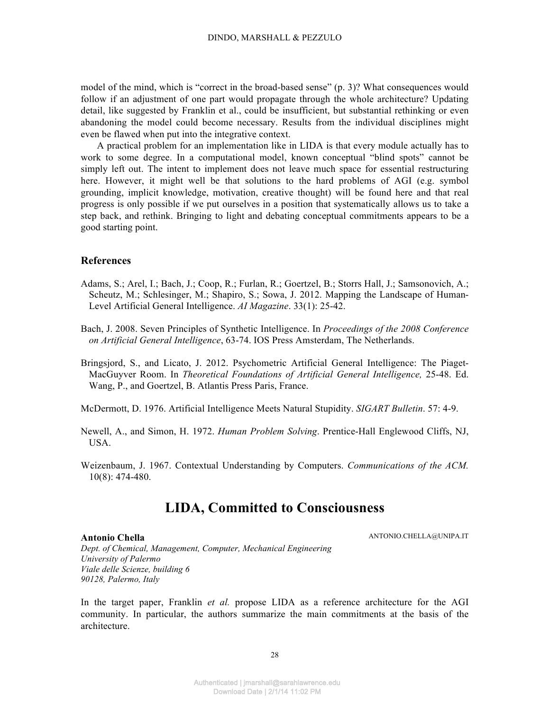model of the mind, which is "correct in the broad-based sense" (p. 3)? What consequences would follow if an adjustment of one part would propagate through the whole architecture? Updating detail, like suggested by Franklin et al., could be insufficient, but substantial rethinking or even abandoning the model could become necessary. Results from the individual disciplines might even be flawed when put into the integrative context.

A practical problem for an implementation like in LIDA is that every module actually has to work to some degree. In a computational model, known conceptual "blind spots" cannot be simply left out. The intent to implement does not leave much space for essential restructuring here. However, it might well be that solutions to the hard problems of AGI (e.g. symbol grounding, implicit knowledge, motivation, creative thought) will be found here and that real progress is only possible if we put ourselves in a position that systematically allows us to take a step back, and rethink. Bringing to light and debating conceptual commitments appears to be a good starting point.

## **References**

- Adams, S.; Arel, I.; Bach, J.; Coop, R.; Furlan, R.; Goertzel, B.; Storrs Hall, J.; Samsonovich, A.; Scheutz, M.; Schlesinger, M.; Shapiro, S.; Sowa, J. 2012. Mapping the Landscape of Human-Level Artificial General Intelligence. *AI Magazine*. 33(1): 25-42.
- Bach, J. 2008. Seven Principles of Synthetic Intelligence. In *Proceedings of the 2008 Conference on Artificial General Intelligence*, 63-74. IOS Press Amsterdam, The Netherlands.
- Bringsjord, S., and Licato, J. 2012. Psychometric Artificial General Intelligence: The Piaget-MacGuyver Room. In *Theoretical Foundations of Artificial General Intelligence,* 25-48. Ed. Wang, P., and Goertzel, B. Atlantis Press Paris, France.

McDermott, D. 1976. Artificial Intelligence Meets Natural Stupidity. *SIGART Bulletin*. 57: 4-9.

- Newell, A., and Simon, H. 1972. *Human Problem Solving*. Prentice-Hall Englewood Cliffs, NJ, USA.
- Weizenbaum, J. 1967. Contextual Understanding by Computers. *Communications of the ACM.*  10(8): 474-480.

# **LIDA, Committed to Consciousness**

## **Antonio Chella**

ANTONIO.CHELLA@UNIPA.IT

*Dept. of Chemical, Management, Computer, Mechanical Engineering University of Palermo Viale delle Scienze, building 6 90128, Palermo, Italy*

In the target paper, Franklin *et al.* propose LIDA as a reference architecture for the AGI community. In particular, the authors summarize the main commitments at the basis of the architecture.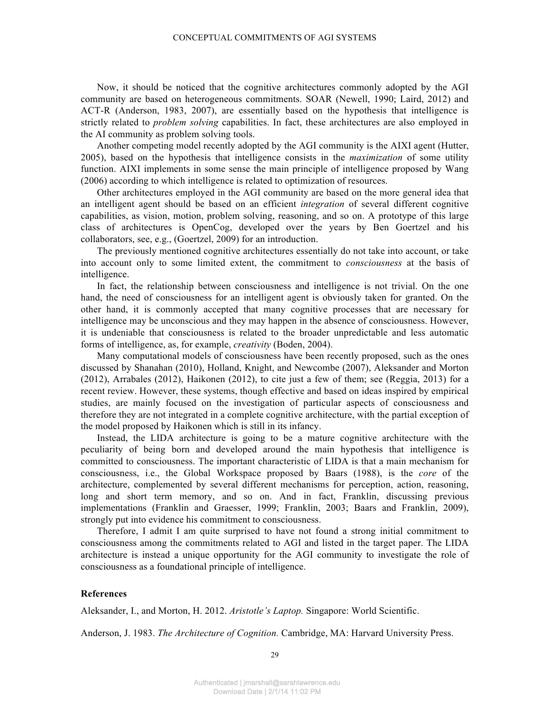Now, it should be noticed that the cognitive architectures commonly adopted by the AGI community are based on heterogeneous commitments. SOAR (Newell, 1990; Laird, 2012) and ACT-R (Anderson, 1983, 2007), are essentially based on the hypothesis that intelligence is strictly related to *problem solving* capabilities. In fact, these architectures are also employed in the AI community as problem solving tools.

Another competing model recently adopted by the AGI community is the AIXI agent (Hutter, 2005), based on the hypothesis that intelligence consists in the *maximization* of some utility function. AIXI implements in some sense the main principle of intelligence proposed by Wang (2006) according to which intelligence is related to optimization of resources.

Other architectures employed in the AGI community are based on the more general idea that an intelligent agent should be based on an efficient *integration* of several different cognitive capabilities, as vision, motion, problem solving, reasoning, and so on. A prototype of this large class of architectures is OpenCog, developed over the years by Ben Goertzel and his collaborators, see, e.g., (Goertzel, 2009) for an introduction.

The previously mentioned cognitive architectures essentially do not take into account, or take into account only to some limited extent, the commitment to *consciousness* at the basis of intelligence.

In fact, the relationship between consciousness and intelligence is not trivial. On the one hand, the need of consciousness for an intelligent agent is obviously taken for granted. On the other hand, it is commonly accepted that many cognitive processes that are necessary for intelligence may be unconscious and they may happen in the absence of consciousness. However, it is undeniable that consciousness is related to the broader unpredictable and less automatic forms of intelligence, as, for example, *creativity* (Boden, 2004).

Many computational models of consciousness have been recently proposed, such as the ones discussed by Shanahan (2010), Holland, Knight, and Newcombe (2007), Aleksander and Morton (2012), Arrabales (2012), Haikonen (2012), to cite just a few of them; see (Reggia, 2013) for a recent review. However, these systems, though effective and based on ideas inspired by empirical studies, are mainly focused on the investigation of particular aspects of consciousness and therefore they are not integrated in a complete cognitive architecture, with the partial exception of the model proposed by Haikonen which is still in its infancy.

Instead, the LIDA architecture is going to be a mature cognitive architecture with the peculiarity of being born and developed around the main hypothesis that intelligence is committed to consciousness. The important characteristic of LIDA is that a main mechanism for consciousness, i.e., the Global Workspace proposed by Baars (1988), is the *core* of the architecture, complemented by several different mechanisms for perception, action, reasoning, long and short term memory, and so on. And in fact, Franklin, discussing previous implementations (Franklin and Graesser, 1999; Franklin, 2003; Baars and Franklin, 2009), strongly put into evidence his commitment to consciousness.

Therefore, I admit I am quite surprised to have not found a strong initial commitment to consciousness among the commitments related to AGI and listed in the target paper. The LIDA architecture is instead a unique opportunity for the AGI community to investigate the role of consciousness as a foundational principle of intelligence.

## **References**

Aleksander, I., and Morton, H. 2012. *Aristotle's Laptop.* Singapore: World Scientific.

Anderson, J. 1983. *The Architecture of Cognition.* Cambridge, MA: Harvard University Press.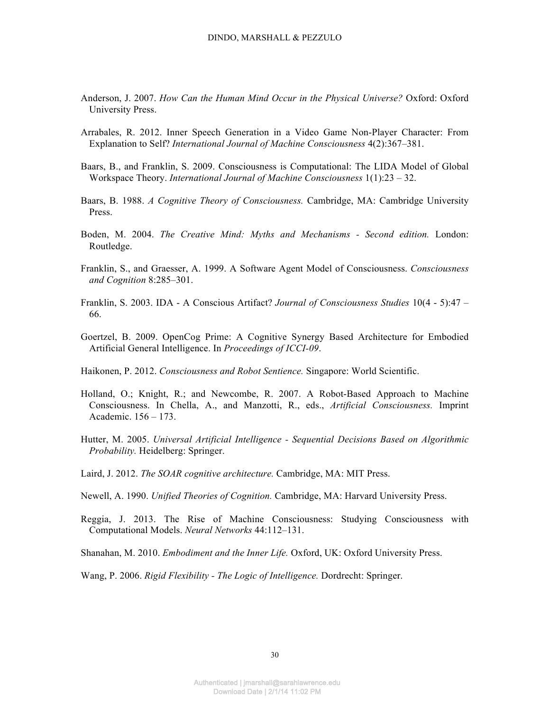- Anderson, J. 2007. *How Can the Human Mind Occur in the Physical Universe?* Oxford: Oxford University Press.
- Arrabales, R. 2012. Inner Speech Generation in a Video Game Non-Player Character: From Explanation to Self? *International Journal of Machine Consciousness* 4(2):367–381.
- Baars, B., and Franklin, S. 2009. Consciousness is Computational: The LIDA Model of Global Workspace Theory. *International Journal of Machine Consciousness* 1(1):23 – 32.
- Baars, B. 1988. *A Cognitive Theory of Consciousness.* Cambridge, MA: Cambridge University Press.
- Boden, M. 2004. *The Creative Mind: Myths and Mechanisms - Second edition.* London: Routledge.
- Franklin, S., and Graesser, A. 1999. A Software Agent Model of Consciousness. *Consciousness and Cognition* 8:285–301.
- Franklin, S. 2003. IDA A Conscious Artifact? *Journal of Consciousness Studies* 10(4 5):47 66.
- Goertzel, B. 2009. OpenCog Prime: A Cognitive Synergy Based Architecture for Embodied Artificial General Intelligence. In *Proceedings of ICCI-09*.
- Haikonen, P. 2012. *Consciousness and Robot Sentience.* Singapore: World Scientific.
- Holland, O.; Knight, R.; and Newcombe, R. 2007. A Robot-Based Approach to Machine Consciousness. In Chella, A., and Manzotti, R., eds., *Artificial Consciousness.* Imprint Academic. 156 – 173.
- Hutter, M. 2005. *Universal Artificial Intelligence - Sequential Decisions Based on Algorithmic Probability.* Heidelberg: Springer.
- Laird, J. 2012. *The SOAR cognitive architecture.* Cambridge, MA: MIT Press.
- Newell, A. 1990. *Unified Theories of Cognition.* Cambridge, MA: Harvard University Press.
- Reggia, J. 2013. The Rise of Machine Consciousness: Studying Consciousness with Computational Models. *Neural Networks* 44:112–131.
- Shanahan, M. 2010. *Embodiment and the Inner Life.* Oxford, UK: Oxford University Press.
- Wang, P. 2006. *Rigid Flexibility - The Logic of Intelligence.* Dordrecht: Springer.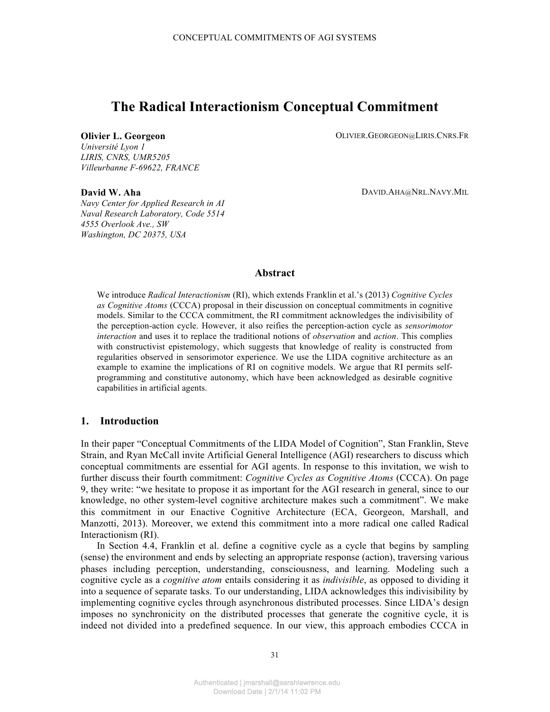# **The Radical Interactionism Conceptual Commitment**

**Olivier L. Georgeon Community Community Community Community Community Community Community Community Community Community Community Community Community Community Community Community Community Community Community Community** 

*Université Lyon 1 LIRIS, CNRS, UMR5205 Villeurbanne F-69622, FRANCE*

## **David W. Aha**

DAVID.AHA@NRL.NAVY.MIL

*Navy Center for Applied Research in AI Naval Research Laboratory, Code 5514 4555 Overlook Ave., SW Washington, DC 20375, USA*

# **Abstract**

We introduce *Radical Interactionism* (RI), which extends Franklin et al.'s (2013) *Cognitive Cycles as Cognitive Atoms* (CCCA) proposal in their discussion on conceptual commitments in cognitive models. Similar to the CCCA commitment, the RI commitment acknowledges the indivisibility of the perception-action cycle. However, it also reifies the perception-action cycle as *sensorimotor interaction* and uses it to replace the traditional notions of *observation* and *action*. This complies with constructivist epistemology, which suggests that knowledge of reality is constructed from regularities observed in sensorimotor experience. We use the LIDA cognitive architecture as an example to examine the implications of RI on cognitive models. We argue that RI permits selfprogramming and constitutive autonomy, which have been acknowledged as desirable cognitive capabilities in artificial agents.

# **1. Introduction**

In their paper "Conceptual Commitments of the LIDA Model of Cognition", Stan Franklin, Steve Strain, and Ryan McCall invite Artificial General Intelligence (AGI) researchers to discuss which conceptual commitments are essential for AGI agents. In response to this invitation, we wish to further discuss their fourth commitment: *Cognitive Cycles as Cognitive Atoms* (CCCA). On page 9, they write: "we hesitate to propose it as important for the AGI research in general, since to our knowledge, no other system-level cognitive architecture makes such a commitment". We make this commitment in our Enactive Cognitive Architecture (ECA, Georgeon, Marshall, and Manzotti, 2013). Moreover, we extend this commitment into a more radical one called Radical Interactionism (RI).

In Section 4.4, Franklin et al. define a cognitive cycle as a cycle that begins by sampling (sense) the environment and ends by selecting an appropriate response (action), traversing various phases including perception, understanding, consciousness, and learning. Modeling such a cognitive cycle as a *cognitive atom* entails considering it as *indivisible*, as opposed to dividing it into a sequence of separate tasks. To our understanding, LIDA acknowledges this indivisibility by implementing cognitive cycles through asynchronous distributed processes. Since LIDA's design imposes no synchronicity on the distributed processes that generate the cognitive cycle, it is indeed not divided into a predefined sequence. In our view, this approach embodies CCCA in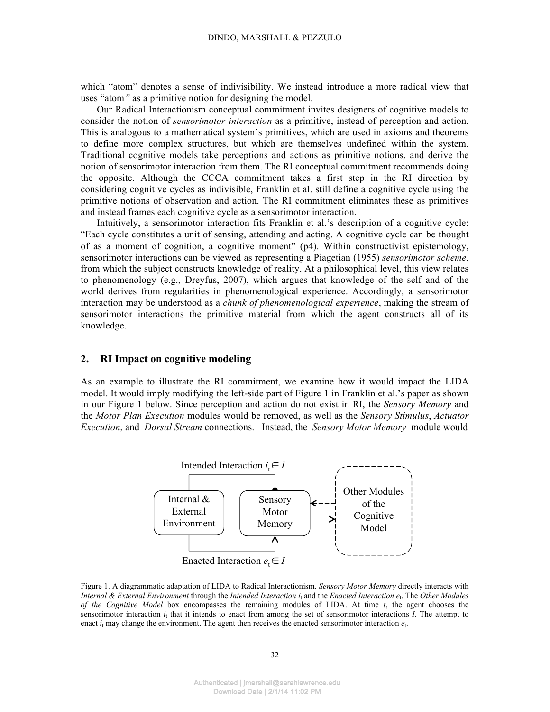which "atom" denotes a sense of indivisibility. We instead introduce a more radical view that uses "atom*"* as a primitive notion for designing the model.

Our Radical Interactionism conceptual commitment invites designers of cognitive models to consider the notion of *sensorimotor interaction* as a primitive, instead of perception and action. This is analogous to a mathematical system's primitives, which are used in axioms and theorems to define more complex structures, but which are themselves undefined within the system. Traditional cognitive models take perceptions and actions as primitive notions, and derive the notion of sensorimotor interaction from them. The RI conceptual commitment recommends doing the opposite. Although the CCCA commitment takes a first step in the RI direction by considering cognitive cycles as indivisible, Franklin et al. still define a cognitive cycle using the primitive notions of observation and action. The RI commitment eliminates these as primitives and instead frames each cognitive cycle as a sensorimotor interaction.

Intuitively, a sensorimotor interaction fits Franklin et al.'s description of a cognitive cycle: "Each cycle constitutes a unit of sensing, attending and acting. A cognitive cycle can be thought of as a moment of cognition, a cognitive moment" (p4). Within constructivist epistemology, sensorimotor interactions can be viewed as representing a Piagetian (1955) *sensorimotor scheme*, from which the subject constructs knowledge of reality. At a philosophical level, this view relates to phenomenology (e.g., Dreyfus, 2007), which argues that knowledge of the self and of the world derives from regularities in phenomenological experience. Accordingly, a sensorimotor interaction may be understood as a *chunk of phenomenological experience*, making the stream of sensorimotor interactions the primitive material from which the agent constructs all of its knowledge.

## **2. RI Impact on cognitive modeling**

As an example to illustrate the RI commitment, we examine how it would impact the LIDA model. It would imply modifying the left-side part of Figure 1 in Franklin et al.'s paper as shown in our Figure 1 below. Since perception and action do not exist in RI, the *Sensory Memory* and the *Motor Plan Execution* modules would be removed, as well as the *Sensory Stimulus*, *Actuator Execution*, and *Dorsal Stream* connections. Instead, the *Sensory Motor Memory* module would



Figure 1. A diagrammatic adaptation of LIDA to Radical Interactionism. *Sensory Motor Memory* directly interacts with *Internal & External Environment* through the *Intended Interaction i*<sup>t</sup> and the *Enacted Interaction e*t. The *Other Modules of the Cognitive Model* box encompasses the remaining modules of LIDA. At time *t*, the agent chooses the sensorimotor interaction  $i_t$  that it intends to enact from among the set of sensorimotor interactions  $I$ . The attempt to enact  $i_t$  may change the environment. The agent then receives the enacted sensorimotor interaction  $e_t$ .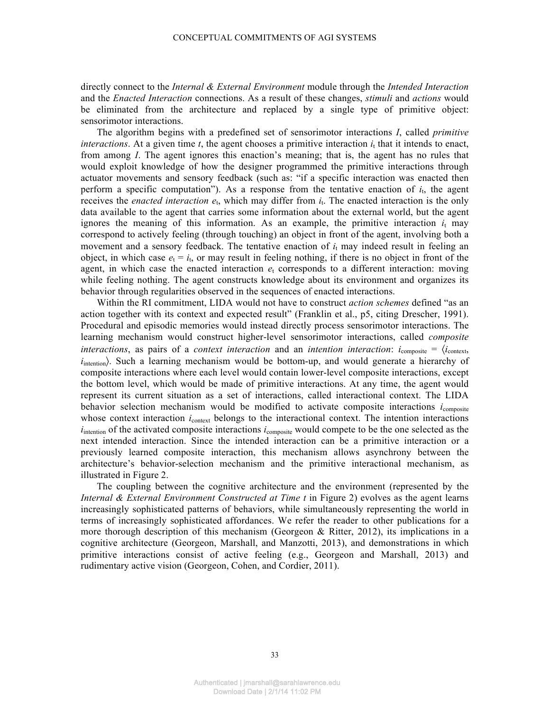directly connect to the *Internal & External Environment* module through the *Intended Interaction* and the *Enacted Interaction* connections. As a result of these changes, *stimuli* and *actions* would be eliminated from the architecture and replaced by a single type of primitive object: sensorimotor interactions.

The algorithm begins with a predefined set of sensorimotor interactions *I*, called *primitive interactions*. At a given time  $t$ , the agent chooses a primitive interaction  $i_t$  that it intends to enact, from among *I*. The agent ignores this enaction's meaning; that is, the agent has no rules that would exploit knowledge of how the designer programmed the primitive interactions through actuator movements and sensory feedback (such as: "if a specific interaction was enacted then perform a specific computation"). As a response from the tentative enaction of  $i<sub>t</sub>$ , the agent receives the *enacted interaction*  $e_t$ , which may differ from  $i_t$ . The enacted interaction is the only data available to the agent that carries some information about the external world, but the agent ignores the meaning of this information. As an example, the primitive interaction  $i_t$  may correspond to actively feeling (through touching) an object in front of the agent, involving both a movement and a sensory feedback. The tentative enaction of  $i_t$  may indeed result in feeling an object, in which case  $e_t = i_t$ , or may result in feeling nothing, if there is no object in front of the agent, in which case the enacted interaction  $e_t$  corresponds to a different interaction: moving while feeling nothing. The agent constructs knowledge about its environment and organizes its behavior through regularities observed in the sequences of enacted interactions.

Within the RI commitment, LIDA would not have to construct *action schemes* defined "as an action together with its context and expected result" (Franklin et al., p5, citing Drescher, 1991). Procedural and episodic memories would instead directly process sensorimotor interactions. The learning mechanism would construct higher-level sensorimotor interactions, called *composite interactions*, as pairs of a *context interaction* and an *intention interaction*:  $i_{\text{composite}} = \langle i_{\text{context}} \rangle$ *i*<sub>intention</sub>). Such a learning mechanism would be bottom-up, and would generate a hierarchy of composite interactions where each level would contain lower-level composite interactions, except the bottom level, which would be made of primitive interactions. At any time, the agent would represent its current situation as a set of interactions, called interactional context. The LIDA behavior selection mechanism would be modified to activate composite interactions *i*composite whose context interaction *i*<sub>context</sub> belongs to the interactional context. The intention interactions *i*<sub>intention</sub> of the activated composite interactions *i*<sub>composite</sub> would compete to be the one selected as the next intended interaction. Since the intended interaction can be a primitive interaction or a previously learned composite interaction, this mechanism allows asynchrony between the architecture's behavior-selection mechanism and the primitive interactional mechanism, as illustrated in Figure 2.

The coupling between the cognitive architecture and the environment (represented by the *Internal & External Environment Constructed at Time t* in Figure 2) evolves as the agent learns increasingly sophisticated patterns of behaviors, while simultaneously representing the world in terms of increasingly sophisticated affordances. We refer the reader to other publications for a more thorough description of this mechanism (Georgeon & Ritter, 2012), its implications in a cognitive architecture (Georgeon, Marshall, and Manzotti, 2013), and demonstrations in which primitive interactions consist of active feeling (e.g., Georgeon and Marshall, 2013) and rudimentary active vision (Georgeon, Cohen, and Cordier, 2011).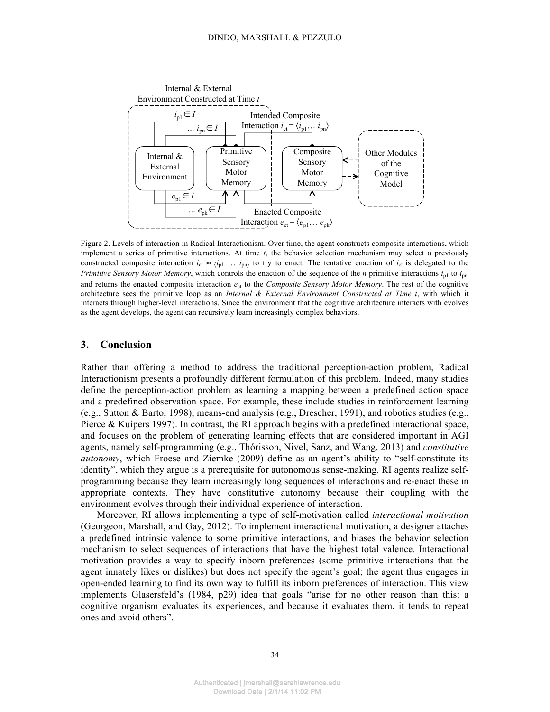

Figure 2. Levels of interaction in Radical Interactionism. Over time, the agent constructs composite interactions, which implement a series of primitive interactions. At time *t*, the behavior selection mechanism may select a previously constructed composite interaction  $i_{ct} \approx \langle i_{p1} \dots i_{pn} \rangle$  to try to enact. The tentative enaction of  $i_{ct}$  is delegated to the *Primitive Sensory Motor Memory*, which controls the enaction of the sequence of the *n* primitive interactions  $i_{p1}$  to  $i_{p1}$ , and returns the enacted composite interaction  $e<sub>ct</sub>$  to the *Composite Sensory Motor Memory*. The rest of the cognitive architecture sees the primitive loop as an *Internal & External Environment Constructed at Time t*, with which it interacts through higher-level interactions. Since the environment that the cognitive architecture interacts with evolves as the agent develops, the agent can recursively learn increasingly complex behaviors.

## **3. Conclusion**

Rather than offering a method to address the traditional perception-action problem, Radical Interactionism presents a profoundly different formulation of this problem. Indeed, many studies define the perception-action problem as learning a mapping between a predefined action space and a predefined observation space. For example, these include studies in reinforcement learning (e.g., Sutton & Barto, 1998), means-end analysis (e.g., Drescher, 1991), and robotics studies (e.g., Pierce & Kuipers 1997). In contrast, the RI approach begins with a predefined interactional space, and focuses on the problem of generating learning effects that are considered important in AGI agents, namely self-programming (e.g., Thórisson, Nivel, Sanz, and Wang, 2013) and *constitutive autonomy*, which Froese and Ziemke (2009) define as an agent's ability to "self-constitute its identity", which they argue is a prerequisite for autonomous sense-making. RI agents realize selfprogramming because they learn increasingly long sequences of interactions and re-enact these in appropriate contexts. They have constitutive autonomy because their coupling with the environment evolves through their individual experience of interaction.

Moreover, RI allows implementing a type of self-motivation called *interactional motivation* (Georgeon, Marshall, and Gay, 2012). To implement interactional motivation, a designer attaches a predefined intrinsic valence to some primitive interactions, and biases the behavior selection mechanism to select sequences of interactions that have the highest total valence. Interactional motivation provides a way to specify inborn preferences (some primitive interactions that the agent innately likes or dislikes) but does not specify the agent's goal; the agent thus engages in open-ended learning to find its own way to fulfill its inborn preferences of interaction. This view implements Glasersfeld's (1984, p29) idea that goals "arise for no other reason than this: a cognitive organism evaluates its experiences, and because it evaluates them, it tends to repeat ones and avoid others".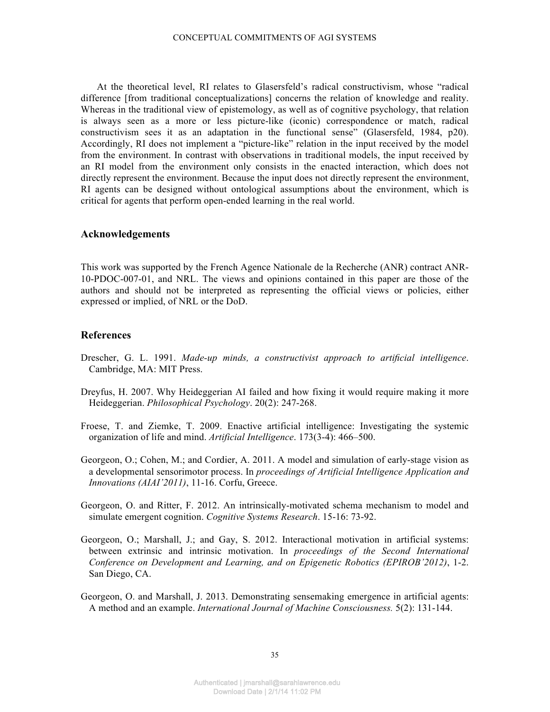At the theoretical level, RI relates to Glasersfeld's radical constructivism, whose "radical difference [from traditional conceptualizations] concerns the relation of knowledge and reality. Whereas in the traditional view of epistemology, as well as of cognitive psychology, that relation is always seen as a more or less picture-like (iconic) correspondence or match, radical constructivism sees it as an adaptation in the functional sense" (Glasersfeld, 1984, p20). Accordingly, RI does not implement a "picture-like" relation in the input received by the model from the environment. In contrast with observations in traditional models, the input received by an RI model from the environment only consists in the enacted interaction, which does not directly represent the environment. Because the input does not directly represent the environment, RI agents can be designed without ontological assumptions about the environment, which is critical for agents that perform open-ended learning in the real world.

## **Acknowledgements**

This work was supported by the French Agence Nationale de la Recherche (ANR) contract ANR-10-PDOC-007-01, and NRL. The views and opinions contained in this paper are those of the authors and should not be interpreted as representing the official views or policies, either expressed or implied, of NRL or the DoD.

## **References**

- Drescher, G. L. 1991. *Made-up minds, a constructivist approach to artificial intelligence*. Cambridge, MA: MIT Press.
- Dreyfus, H. 2007. Why Heideggerian AI failed and how fixing it would require making it more Heideggerian. *Philosophical Psychology*. 20(2): 247-268.
- Froese, T. and Ziemke, T. 2009. Enactive artificial intelligence: Investigating the systemic organization of life and mind. *Artificial Intelligence*. 173(3-4): 466–500.
- Georgeon, O.; Cohen, M.; and Cordier, A. 2011. A model and simulation of early-stage vision as a developmental sensorimotor process. In *proceedings of Artificial Intelligence Application and Innovations (AIAI'2011)*, 11-16. Corfu, Greece.
- Georgeon, O. and Ritter, F. 2012. An intrinsically-motivated schema mechanism to model and simulate emergent cognition. *Cognitive Systems Research*. 15-16: 73-92.
- Georgeon, O.; Marshall, J.; and Gay, S. 2012. Interactional motivation in artificial systems: between extrinsic and intrinsic motivation. In *proceedings of the Second International Conference on Development and Learning, and on Epigenetic Robotics (EPIROB'2012)*, 1-2. San Diego, CA.
- Georgeon, O. and Marshall, J. 2013. Demonstrating sensemaking emergence in artificial agents: A method and an example. *International Journal of Machine Consciousness.* 5(2): 131-144.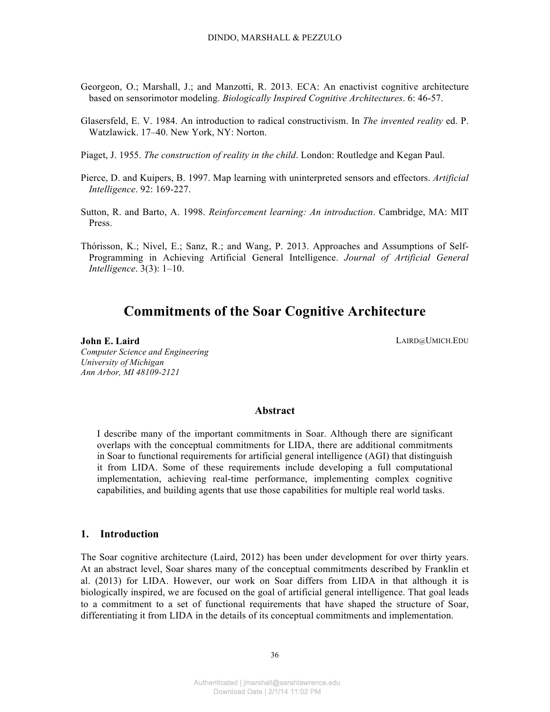- Georgeon, O.; Marshall, J.; and Manzotti, R. 2013. ECA: An enactivist cognitive architecture based on sensorimotor modeling. *Biologically Inspired Cognitive Architectures*. 6: 46-57.
- Glasersfeld, E. V. 1984. An introduction to radical constructivism. In *The invented reality* ed. P. Watzlawick. 17–40. New York, NY: Norton.
- Piaget, J. 1955. *The construction of reality in the child*. London: Routledge and Kegan Paul.
- Pierce, D. and Kuipers, B. 1997. Map learning with uninterpreted sensors and effectors. *Artificial Intelligence*. 92: 169-227.
- Sutton, R. and Barto, A. 1998. *Reinforcement learning: An introduction*. Cambridge, MA: MIT Press.
- Thórisson, K.; Nivel, E.; Sanz, R.; and Wang, P. 2013. Approaches and Assumptions of Self-Programming in Achieving Artificial General Intelligence. *Journal of Artificial General Intelligence*. 3(3): 1–10.

# **Commitments of the Soar Cognitive Architecture**

### **John E. Laird**

*Computer Science and Engineering University of Michigan Ann Arbor, MI 48109-2121*

LAIRD@UMICH.EDU

#### **Abstract**

I describe many of the important commitments in Soar. Although there are significant overlaps with the conceptual commitments for LIDA, there are additional commitments in Soar to functional requirements for artificial general intelligence (AGI) that distinguish it from LIDA. Some of these requirements include developing a full computational implementation, achieving real-time performance, implementing complex cognitive capabilities, and building agents that use those capabilities for multiple real world tasks.

# **1. Introduction**

The Soar cognitive architecture (Laird, 2012) has been under development for over thirty years. At an abstract level, Soar shares many of the conceptual commitments described by Franklin et al. (2013) for LIDA. However, our work on Soar differs from LIDA in that although it is biologically inspired, we are focused on the goal of artificial general intelligence. That goal leads to a commitment to a set of functional requirements that have shaped the structure of Soar, differentiating it from LIDA in the details of its conceptual commitments and implementation.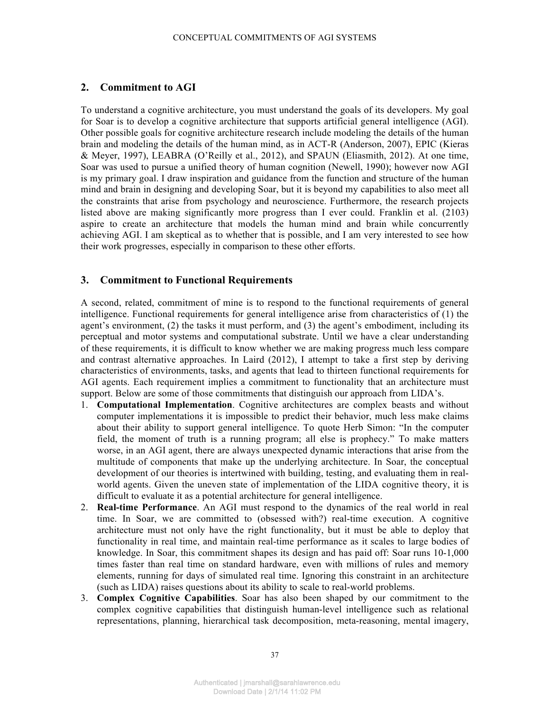## **2. Commitment to AGI**

To understand a cognitive architecture, you must understand the goals of its developers. My goal for Soar is to develop a cognitive architecture that supports artificial general intelligence (AGI). Other possible goals for cognitive architecture research include modeling the details of the human brain and modeling the details of the human mind, as in ACT-R (Anderson, 2007), EPIC (Kieras & Meyer, 1997), LEABRA (O'Reilly et al., 2012), and SPAUN (Eliasmith, 2012). At one time, Soar was used to pursue a unified theory of human cognition (Newell, 1990); however now AGI is my primary goal. I draw inspiration and guidance from the function and structure of the human mind and brain in designing and developing Soar, but it is beyond my capabilities to also meet all the constraints that arise from psychology and neuroscience. Furthermore, the research projects listed above are making significantly more progress than I ever could. Franklin et al. (2103) aspire to create an architecture that models the human mind and brain while concurrently achieving AGI. I am skeptical as to whether that is possible, and I am very interested to see how their work progresses, especially in comparison to these other efforts.

## **3. Commitment to Functional Requirements**

A second, related, commitment of mine is to respond to the functional requirements of general intelligence. Functional requirements for general intelligence arise from characteristics of (1) the agent's environment, (2) the tasks it must perform, and (3) the agent's embodiment, including its perceptual and motor systems and computational substrate. Until we have a clear understanding of these requirements, it is difficult to know whether we are making progress much less compare and contrast alternative approaches. In Laird (2012), I attempt to take a first step by deriving characteristics of environments, tasks, and agents that lead to thirteen functional requirements for AGI agents. Each requirement implies a commitment to functionality that an architecture must support. Below are some of those commitments that distinguish our approach from LIDA's.

- 1. **Computational Implementation**. Cognitive architectures are complex beasts and without computer implementations it is impossible to predict their behavior, much less make claims about their ability to support general intelligence. To quote Herb Simon: "In the computer field, the moment of truth is a running program; all else is prophecy." To make matters worse, in an AGI agent, there are always unexpected dynamic interactions that arise from the multitude of components that make up the underlying architecture. In Soar, the conceptual development of our theories is intertwined with building, testing, and evaluating them in realworld agents. Given the uneven state of implementation of the LIDA cognitive theory, it is difficult to evaluate it as a potential architecture for general intelligence.
- 2. **Real-time Performance**. An AGI must respond to the dynamics of the real world in real time. In Soar, we are committed to (obsessed with?) real-time execution. A cognitive architecture must not only have the right functionality, but it must be able to deploy that functionality in real time, and maintain real-time performance as it scales to large bodies of knowledge. In Soar, this commitment shapes its design and has paid off: Soar runs 10-1,000 times faster than real time on standard hardware, even with millions of rules and memory elements, running for days of simulated real time. Ignoring this constraint in an architecture (such as LIDA) raises questions about its ability to scale to real-world problems.
- 3. **Complex Cognitive Capabilities**. Soar has also been shaped by our commitment to the complex cognitive capabilities that distinguish human-level intelligence such as relational representations, planning, hierarchical task decomposition, meta-reasoning, mental imagery,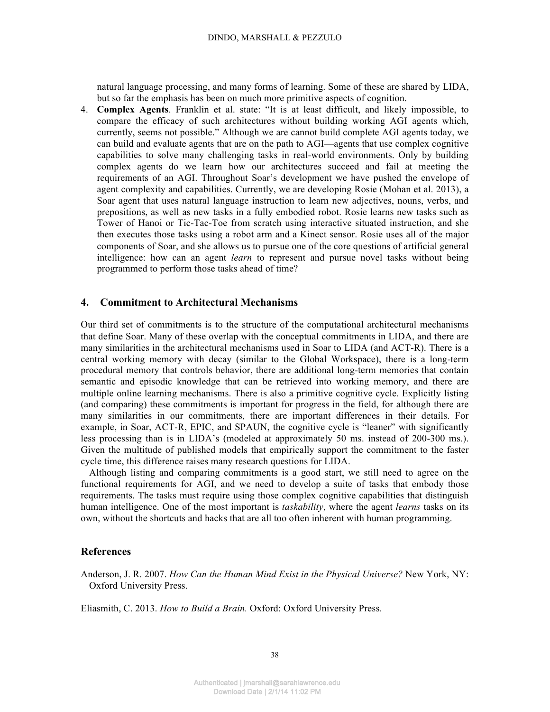natural language processing, and many forms of learning. Some of these are shared by LIDA, but so far the emphasis has been on much more primitive aspects of cognition.

4. **Complex Agents**. Franklin et al. state: "It is at least difficult, and likely impossible, to compare the efficacy of such architectures without building working AGI agents which, currently, seems not possible." Although we are cannot build complete AGI agents today, we can build and evaluate agents that are on the path to AGI—agents that use complex cognitive capabilities to solve many challenging tasks in real-world environments. Only by building complex agents do we learn how our architectures succeed and fail at meeting the requirements of an AGI. Throughout Soar's development we have pushed the envelope of agent complexity and capabilities. Currently, we are developing Rosie (Mohan et al. 2013), a Soar agent that uses natural language instruction to learn new adjectives, nouns, verbs, and prepositions, as well as new tasks in a fully embodied robot. Rosie learns new tasks such as Tower of Hanoi or Tic-Tac-Toe from scratch using interactive situated instruction, and she then executes those tasks using a robot arm and a Kinect sensor. Rosie uses all of the major components of Soar, and she allows us to pursue one of the core questions of artificial general intelligence: how can an agent *learn* to represent and pursue novel tasks without being programmed to perform those tasks ahead of time?

# **4. Commitment to Architectural Mechanisms**

Our third set of commitments is to the structure of the computational architectural mechanisms that define Soar. Many of these overlap with the conceptual commitments in LIDA, and there are many similarities in the architectural mechanisms used in Soar to LIDA (and ACT-R). There is a central working memory with decay (similar to the Global Workspace), there is a long-term procedural memory that controls behavior, there are additional long-term memories that contain semantic and episodic knowledge that can be retrieved into working memory, and there are multiple online learning mechanisms. There is also a primitive cognitive cycle. Explicitly listing (and comparing) these commitments is important for progress in the field, for although there are many similarities in our commitments, there are important differences in their details. For example, in Soar, ACT-R, EPIC, and SPAUN, the cognitive cycle is "leaner" with significantly less processing than is in LIDA's (modeled at approximately 50 ms. instead of 200-300 ms.). Given the multitude of published models that empirically support the commitment to the faster cycle time, this difference raises many research questions for LIDA.

Although listing and comparing commitments is a good start, we still need to agree on the functional requirements for AGI, and we need to develop a suite of tasks that embody those requirements. The tasks must require using those complex cognitive capabilities that distinguish human intelligence. One of the most important is *taskability*, where the agent *learns* tasks on its own, without the shortcuts and hacks that are all too often inherent with human programming.

# **References**

Anderson, J. R. 2007. *How Can the Human Mind Exist in the Physical Universe?* New York, NY: Oxford University Press.

Eliasmith, C. 2013. *How to Build a Brain.* Oxford: Oxford University Press.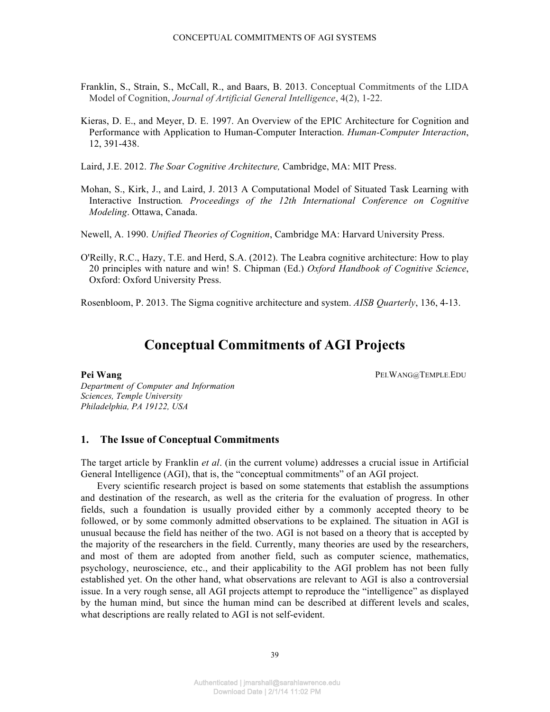- Franklin, S., Strain, S., McCall, R., and Baars, B. 2013. Conceptual Commitments of the LIDA Model of Cognition, *Journal of Artificial General Intelligence*, 4(2), 1-22.
- Kieras, D. E., and Meyer, D. E. 1997. An Overview of the EPIC Architecture for Cognition and Performance with Application to Human-Computer Interaction. *Human-Computer Interaction*, 12, 391-438.

Laird, J.E. 2012. *The Soar Cognitive Architecture,* Cambridge, MA: MIT Press.

- Mohan, S., Kirk, J., and Laird, J. 2013 A Computational Model of Situated Task Learning with Interactive Instruction*. Proceedings of the 12th International Conference on Cognitive Modeling*. Ottawa, Canada.
- Newell, A. 1990. *Unified Theories of Cognition*, Cambridge MA: Harvard University Press.
- O'Reilly, R.C., Hazy, T.E. and Herd, S.A. (2012). The Leabra cognitive architecture: How to play 20 principles with nature and win! S. Chipman (Ed.) *Oxford Handbook of Cognitive Science*, Oxford: Oxford University Press.

Rosenbloom, P. 2013. The Sigma cognitive architecture and system. *AISB Quarterly*, 136, 4-13.

# **Conceptual Commitments of AGI Projects**

**Pei Wang** PEI.WANG@TEMPLE.EDU

*Department of Computer and Information Sciences, Temple University Philadelphia, PA 19122, USA*

# **1. The Issue of Conceptual Commitments**

The target article by Franklin *et al*. (in the current volume) addresses a crucial issue in Artificial General Intelligence (AGI), that is, the "conceptual commitments" of an AGI project.

Every scientific research project is based on some statements that establish the assumptions and destination of the research, as well as the criteria for the evaluation of progress. In other fields, such a foundation is usually provided either by a commonly accepted theory to be followed, or by some commonly admitted observations to be explained. The situation in AGI is unusual because the field has neither of the two. AGI is not based on a theory that is accepted by the majority of the researchers in the field. Currently, many theories are used by the researchers, and most of them are adopted from another field, such as computer science, mathematics, psychology, neuroscience, etc., and their applicability to the AGI problem has not been fully established yet. On the other hand, what observations are relevant to AGI is also a controversial issue. In a very rough sense, all AGI projects attempt to reproduce the "intelligence" as displayed by the human mind, but since the human mind can be described at different levels and scales, what descriptions are really related to AGI is not self-evident.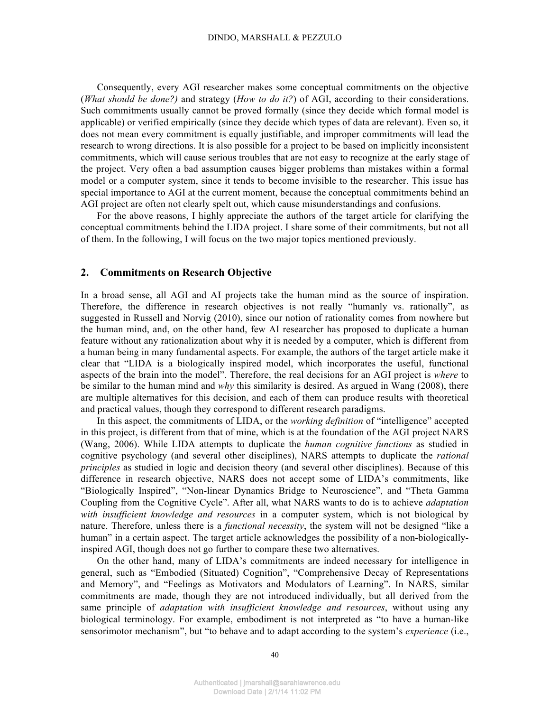Consequently, every AGI researcher makes some conceptual commitments on the objective (*What should be done?)* and strategy (*How to do it?*) of AGI, according to their considerations. Such commitments usually cannot be proved formally (since they decide which formal model is applicable) or verified empirically (since they decide which types of data are relevant). Even so, it does not mean every commitment is equally justifiable, and improper commitments will lead the research to wrong directions. It is also possible for a project to be based on implicitly inconsistent commitments, which will cause serious troubles that are not easy to recognize at the early stage of the project. Very often a bad assumption causes bigger problems than mistakes within a formal model or a computer system, since it tends to become invisible to the researcher. This issue has special importance to AGI at the current moment, because the conceptual commitments behind an AGI project are often not clearly spelt out, which cause misunderstandings and confusions.

For the above reasons, I highly appreciate the authors of the target article for clarifying the conceptual commitments behind the LIDA project. I share some of their commitments, but not all of them. In the following, I will focus on the two major topics mentioned previously.

## **2. Commitments on Research Objective**

In a broad sense, all AGI and AI projects take the human mind as the source of inspiration. Therefore, the difference in research objectives is not really "humanly vs. rationally", as suggested in Russell and Norvig (2010), since our notion of rationality comes from nowhere but the human mind, and, on the other hand, few AI researcher has proposed to duplicate a human feature without any rationalization about why it is needed by a computer, which is different from a human being in many fundamental aspects. For example, the authors of the target article make it clear that "LIDA is a biologically inspired model, which incorporates the useful, functional aspects of the brain into the model". Therefore, the real decisions for an AGI project is *where* to be similar to the human mind and *why* this similarity is desired. As argued in Wang (2008), there are multiple alternatives for this decision, and each of them can produce results with theoretical and practical values, though they correspond to different research paradigms.

In this aspect, the commitments of LIDA, or the *working definition* of "intelligence" accepted in this project, is different from that of mine, which is at the foundation of the AGI project NARS (Wang, 2006). While LIDA attempts to duplicate the *human cognitive functions* as studied in cognitive psychology (and several other disciplines), NARS attempts to duplicate the *rational principles* as studied in logic and decision theory (and several other disciplines). Because of this difference in research objective, NARS does not accept some of LIDA's commitments, like "Biologically Inspired", "Non-linear Dynamics Bridge to Neuroscience", and "Theta Gamma Coupling from the Cognitive Cycle". After all, what NARS wants to do is to achieve *adaptation with insufficient knowledge and resources* in a computer system, which is not biological by nature. Therefore, unless there is a *functional necessity*, the system will not be designed "like a human" in a certain aspect. The target article acknowledges the possibility of a non-biologicallyinspired AGI, though does not go further to compare these two alternatives.

On the other hand, many of LIDA's commitments are indeed necessary for intelligence in general, such as "Embodied (Situated) Cognition", "Comprehensive Decay of Representations and Memory", and "Feelings as Motivators and Modulators of Learning". In NARS, similar commitments are made, though they are not introduced individually, but all derived from the same principle of *adaptation with insufficient knowledge and resources*, without using any biological terminology. For example, embodiment is not interpreted as "to have a human-like sensorimotor mechanism", but "to behave and to adapt according to the system's *experience* (i.e.,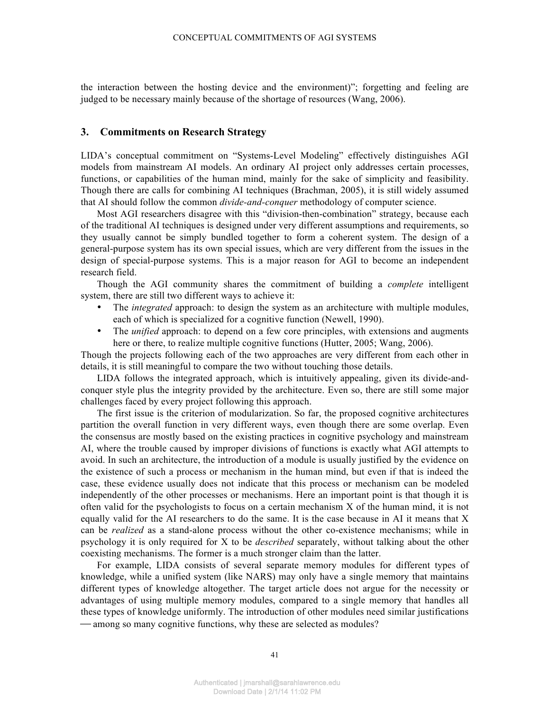the interaction between the hosting device and the environment)"; forgetting and feeling are judged to be necessary mainly because of the shortage of resources (Wang, 2006).

### **3. Commitments on Research Strategy**

LIDA's conceptual commitment on "Systems-Level Modeling" effectively distinguishes AGI models from mainstream AI models. An ordinary AI project only addresses certain processes, functions, or capabilities of the human mind, mainly for the sake of simplicity and feasibility. Though there are calls for combining AI techniques (Brachman, 2005), it is still widely assumed that AI should follow the common *divide-and-conquer* methodology of computer science.

Most AGI researchers disagree with this "division-then-combination" strategy, because each of the traditional AI techniques is designed under very different assumptions and requirements, so they usually cannot be simply bundled together to form a coherent system. The design of a general-purpose system has its own special issues, which are very different from the issues in the design of special-purpose systems. This is a major reason for AGI to become an independent research field.

Though the AGI community shares the commitment of building a *complete* intelligent system, there are still two different ways to achieve it:

- The *integrated* approach: to design the system as an architecture with multiple modules, each of which is specialized for a cognitive function (Newell, 1990).
- The *unified* approach: to depend on a few core principles, with extensions and augments here or there, to realize multiple cognitive functions (Hutter, 2005; Wang, 2006).

Though the projects following each of the two approaches are very different from each other in details, it is still meaningful to compare the two without touching those details.

LIDA follows the integrated approach, which is intuitively appealing, given its divide-andconquer style plus the integrity provided by the architecture. Even so, there are still some major challenges faced by every project following this approach.

The first issue is the criterion of modularization. So far, the proposed cognitive architectures partition the overall function in very different ways, even though there are some overlap. Even the consensus are mostly based on the existing practices in cognitive psychology and mainstream AI, where the trouble caused by improper divisions of functions is exactly what AGI attempts to avoid. In such an architecture, the introduction of a module is usually justified by the evidence on the existence of such a process or mechanism in the human mind, but even if that is indeed the case, these evidence usually does not indicate that this process or mechanism can be modeled independently of the other processes or mechanisms. Here an important point is that though it is often valid for the psychologists to focus on a certain mechanism X of the human mind, it is not equally valid for the AI researchers to do the same. It is the case because in AI it means that X can be *realized* as a stand-alone process without the other co-existence mechanisms; while in psychology it is only required for X to be *described* separately, without talking about the other coexisting mechanisms. The former is a much stronger claim than the latter.

For example, LIDA consists of several separate memory modules for different types of knowledge, while a unified system (like NARS) may only have a single memory that maintains different types of knowledge altogether. The target article does not argue for the necessity or advantages of using multiple memory modules, compared to a single memory that handles all these types of knowledge uniformly. The introduction of other modules need similar justifications  $\sim$  among so many cognitive functions, why these are selected as modules?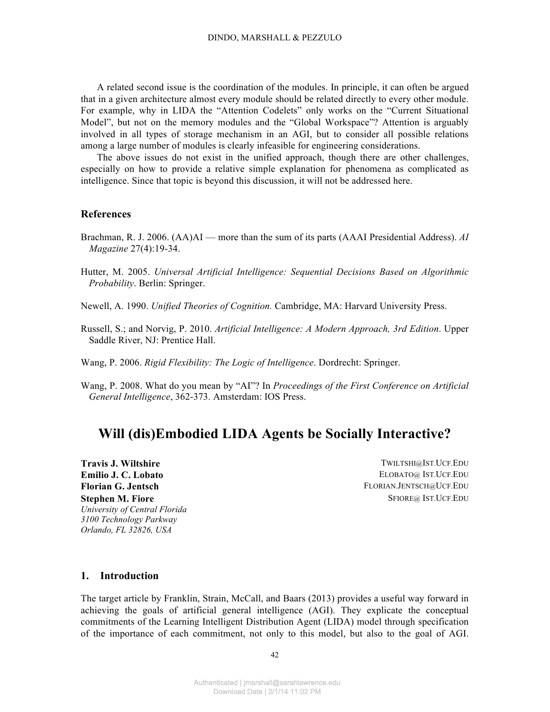A related second issue is the coordination of the modules. In principle, it can often be argued that in a given architecture almost every module should be related directly to every other module. For example, why in LIDA the "Attention Codelets" only works on the "Current Situational Model", but not on the memory modules and the "Global Workspace"? Attention is arguably involved in all types of storage mechanism in an AGI, but to consider all possible relations among a large number of modules is clearly infeasible for engineering considerations.

The above issues do not exist in the unified approach, though there are other challenges, especially on how to provide a relative simple explanation for phenomena as complicated as intelligence. Since that topic is beyond this discussion, it will not be addressed here.

## **References**

- Brachman, R. J. 2006. (AA)AI more than the sum of its parts (AAAI Presidential Address). *AI Magazine* 27(4):19-34.
- Hutter, M. 2005. *Universal Artificial Intelligence: Sequential Decisions Based on Algorithmic Probability*. Berlin: Springer.
- Newell, A. 1990. *Unified Theories of Cognition.* Cambridge, MA: Harvard University Press.
- Russell, S.; and Norvig, P. 2010. *Artificial Intelligence: A Modern Approach, 3rd Edition*. Upper Saddle River, NJ: Prentice Hall.
- Wang, P. 2006. *Rigid Flexibility: The Logic of Intelligence*. Dordrecht: Springer.
- Wang, P. 2008. What do you mean by "AI"? In *Proceedings of the First Conference on Artificial General Intelligence*, 362-373. Amsterdam: IOS Press.

# **Will (dis)Embodied LIDA Agents be Socially Interactive?**

**Emilio J. C. Lobato** ELOBATO@ IST.UCF.EDU **Florian G. Jentsch** FLORIAN.JENTSCH@UCF.EDU **Stephen M. Fiore** *University of Central Florida 3100 Technology Parkway Orlando, FL 32826, USA*

**Travis J. Wiltshire** TWILTSHI@IST.UCF.EDU SFIORE@ IST.UCF.EDU

## **1. Introduction**

The target article by Franklin, Strain, McCall, and Baars (2013) provides a useful way forward in achieving the goals of artificial general intelligence (AGI). They explicate the conceptual commitments of the Learning Intelligent Distribution Agent (LIDA) model through specification of the importance of each commitment, not only to this model, but also to the goal of AGI.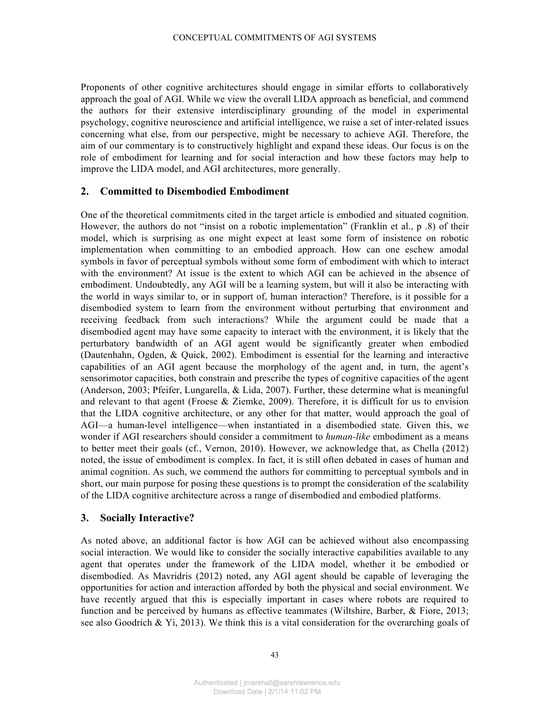Proponents of other cognitive architectures should engage in similar efforts to collaboratively approach the goal of AGI. While we view the overall LIDA approach as beneficial, and commend the authors for their extensive interdisciplinary grounding of the model in experimental psychology, cognitive neuroscience and artificial intelligence, we raise a set of inter-related issues concerning what else, from our perspective, might be necessary to achieve AGI. Therefore, the aim of our commentary is to constructively highlight and expand these ideas. Our focus is on the role of embodiment for learning and for social interaction and how these factors may help to improve the LIDA model, and AGI architectures, more generally.

## **2. Committed to Disembodied Embodiment**

One of the theoretical commitments cited in the target article is embodied and situated cognition. However, the authors do not "insist on a robotic implementation" (Franklin et al., p .8) of their model, which is surprising as one might expect at least some form of insistence on robotic implementation when committing to an embodied approach. How can one eschew amodal symbols in favor of perceptual symbols without some form of embodiment with which to interact with the environment? At issue is the extent to which AGI can be achieved in the absence of embodiment. Undoubtedly, any AGI will be a learning system, but will it also be interacting with the world in ways similar to, or in support of, human interaction? Therefore, is it possible for a disembodied system to learn from the environment without perturbing that environment and receiving feedback from such interactions? While the argument could be made that a disembodied agent may have some capacity to interact with the environment, it is likely that the perturbatory bandwidth of an AGI agent would be significantly greater when embodied (Dautenhahn, Ogden, & Quick, 2002). Embodiment is essential for the learning and interactive capabilities of an AGI agent because the morphology of the agent and, in turn, the agent's sensorimotor capacities, both constrain and prescribe the types of cognitive capacities of the agent (Anderson, 2003; Pfeifer, Lungarella, & Lida, 2007). Further, these determine what is meaningful and relevant to that agent (Froese  $\&$  Ziemke, 2009). Therefore, it is difficult for us to envision that the LIDA cognitive architecture, or any other for that matter, would approach the goal of AGI—a human-level intelligence—when instantiated in a disembodied state. Given this, we wonder if AGI researchers should consider a commitment to *human-like* embodiment as a means to better meet their goals (cf., Vernon, 2010). However, we acknowledge that, as Chella (2012) noted, the issue of embodiment is complex. In fact, it is still often debated in cases of human and animal cognition. As such, we commend the authors for committing to perceptual symbols and in short, our main purpose for posing these questions is to prompt the consideration of the scalability of the LIDA cognitive architecture across a range of disembodied and embodied platforms.

## **3. Socially Interactive?**

As noted above, an additional factor is how AGI can be achieved without also encompassing social interaction. We would like to consider the socially interactive capabilities available to any agent that operates under the framework of the LIDA model, whether it be embodied or disembodied. As Mavridris (2012) noted, any AGI agent should be capable of leveraging the opportunities for action and interaction afforded by both the physical and social environment. We have recently argued that this is especially important in cases where robots are required to function and be perceived by humans as effective teammates (Wiltshire, Barber, & Fiore, 2013; see also Goodrich & Yi, 2013). We think this is a vital consideration for the overarching goals of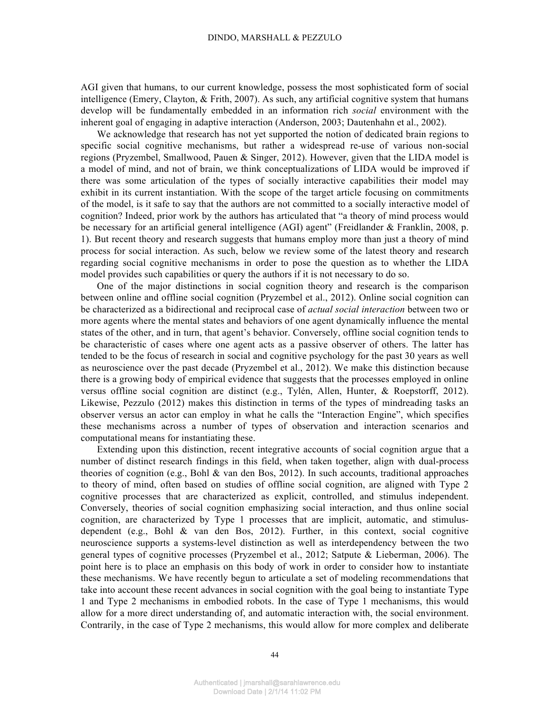AGI given that humans, to our current knowledge, possess the most sophisticated form of social intelligence (Emery, Clayton, & Frith, 2007). As such, any artificial cognitive system that humans develop will be fundamentally embedded in an information rich *social* environment with the inherent goal of engaging in adaptive interaction (Anderson, 2003; Dautenhahn et al., 2002).

We acknowledge that research has not yet supported the notion of dedicated brain regions to specific social cognitive mechanisms, but rather a widespread re-use of various non-social regions (Pryzembel, Smallwood, Pauen & Singer, 2012). However, given that the LIDA model is a model of mind, and not of brain, we think conceptualizations of LIDA would be improved if there was some articulation of the types of socially interactive capabilities their model may exhibit in its current instantiation. With the scope of the target article focusing on commitments of the model, is it safe to say that the authors are not committed to a socially interactive model of cognition? Indeed, prior work by the authors has articulated that "a theory of mind process would be necessary for an artificial general intelligence (AGI) agent" (Freidlander & Franklin, 2008, p. 1). But recent theory and research suggests that humans employ more than just a theory of mind process for social interaction. As such, below we review some of the latest theory and research regarding social cognitive mechanisms in order to pose the question as to whether the LIDA model provides such capabilities or query the authors if it is not necessary to do so.

One of the major distinctions in social cognition theory and research is the comparison between online and offline social cognition (Pryzembel et al., 2012). Online social cognition can be characterized as a bidirectional and reciprocal case of *actual social interaction* between two or more agents where the mental states and behaviors of one agent dynamically influence the mental states of the other, and in turn, that agent's behavior. Conversely, offline social cognition tends to be characteristic of cases where one agent acts as a passive observer of others. The latter has tended to be the focus of research in social and cognitive psychology for the past 30 years as well as neuroscience over the past decade (Pryzembel et al., 2012). We make this distinction because there is a growing body of empirical evidence that suggests that the processes employed in online versus offline social cognition are distinct (e.g., Tylén, Allen, Hunter, & Roepstorff, 2012). Likewise, Pezzulo (2012) makes this distinction in terms of the types of mindreading tasks an observer versus an actor can employ in what he calls the "Interaction Engine", which specifies these mechanisms across a number of types of observation and interaction scenarios and computational means for instantiating these.

Extending upon this distinction, recent integrative accounts of social cognition argue that a number of distinct research findings in this field, when taken together, align with dual-process theories of cognition (e.g., Bohl & van den Bos, 2012). In such accounts, traditional approaches to theory of mind, often based on studies of offline social cognition, are aligned with Type 2 cognitive processes that are characterized as explicit, controlled, and stimulus independent. Conversely, theories of social cognition emphasizing social interaction, and thus online social cognition, are characterized by Type 1 processes that are implicit, automatic, and stimulusdependent (e.g., Bohl & van den Bos, 2012). Further, in this context, social cognitive neuroscience supports a systems-level distinction as well as interdependency between the two general types of cognitive processes (Pryzembel et al., 2012; Satpute & Lieberman, 2006). The point here is to place an emphasis on this body of work in order to consider how to instantiate these mechanisms. We have recently begun to articulate a set of modeling recommendations that take into account these recent advances in social cognition with the goal being to instantiate Type 1 and Type 2 mechanisms in embodied robots. In the case of Type 1 mechanisms, this would allow for a more direct understanding of, and automatic interaction with, the social environment. Contrarily, in the case of Type 2 mechanisms, this would allow for more complex and deliberate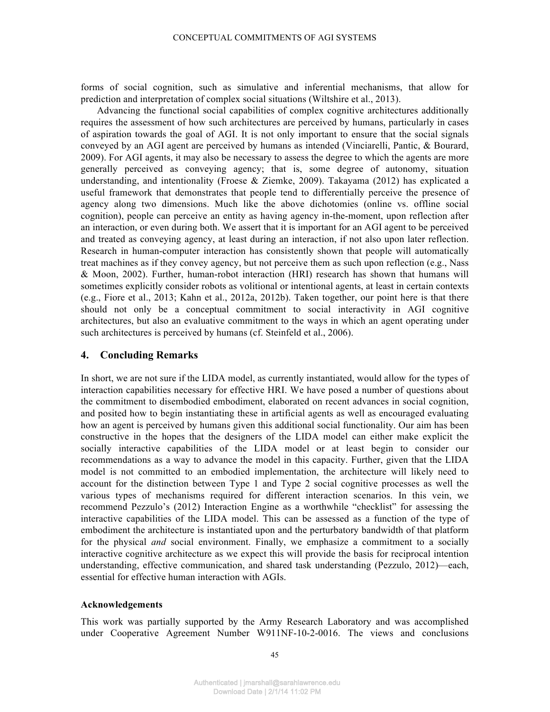forms of social cognition, such as simulative and inferential mechanisms, that allow for prediction and interpretation of complex social situations (Wiltshire et al., 2013).

Advancing the functional social capabilities of complex cognitive architectures additionally requires the assessment of how such architectures are perceived by humans, particularly in cases of aspiration towards the goal of AGI. It is not only important to ensure that the social signals conveyed by an AGI agent are perceived by humans as intended (Vinciarelli, Pantic, & Bourard, 2009). For AGI agents, it may also be necessary to assess the degree to which the agents are more generally perceived as conveying agency; that is, some degree of autonomy, situation understanding, and intentionality (Froese  $\&$  Ziemke, 2009). Takayama (2012) has explicated a useful framework that demonstrates that people tend to differentially perceive the presence of agency along two dimensions. Much like the above dichotomies (online vs. offline social cognition), people can perceive an entity as having agency in-the-moment, upon reflection after an interaction, or even during both. We assert that it is important for an AGI agent to be perceived and treated as conveying agency, at least during an interaction, if not also upon later reflection. Research in human-computer interaction has consistently shown that people will automatically treat machines as if they convey agency, but not perceive them as such upon reflection (e.g., Nass & Moon, 2002). Further, human-robot interaction (HRI) research has shown that humans will sometimes explicitly consider robots as volitional or intentional agents, at least in certain contexts (e.g., Fiore et al., 2013; Kahn et al., 2012a, 2012b). Taken together, our point here is that there should not only be a conceptual commitment to social interactivity in AGI cognitive architectures, but also an evaluative commitment to the ways in which an agent operating under such architectures is perceived by humans (cf. Steinfeld et al., 2006).

# **4. Concluding Remarks**

In short, we are not sure if the LIDA model, as currently instantiated, would allow for the types of interaction capabilities necessary for effective HRI. We have posed a number of questions about the commitment to disembodied embodiment, elaborated on recent advances in social cognition, and posited how to begin instantiating these in artificial agents as well as encouraged evaluating how an agent is perceived by humans given this additional social functionality. Our aim has been constructive in the hopes that the designers of the LIDA model can either make explicit the socially interactive capabilities of the LIDA model or at least begin to consider our recommendations as a way to advance the model in this capacity. Further, given that the LIDA model is not committed to an embodied implementation, the architecture will likely need to account for the distinction between Type 1 and Type 2 social cognitive processes as well the various types of mechanisms required for different interaction scenarios. In this vein, we recommend Pezzulo's (2012) Interaction Engine as a worthwhile "checklist" for assessing the interactive capabilities of the LIDA model. This can be assessed as a function of the type of embodiment the architecture is instantiated upon and the perturbatory bandwidth of that platform for the physical *and* social environment. Finally, we emphasize a commitment to a socially interactive cognitive architecture as we expect this will provide the basis for reciprocal intention understanding, effective communication, and shared task understanding (Pezzulo, 2012)—each, essential for effective human interaction with AGIs.

## **Acknowledgements**

This work was partially supported by the Army Research Laboratory and was accomplished under Cooperative Agreement Number W911NF-10-2-0016. The views and conclusions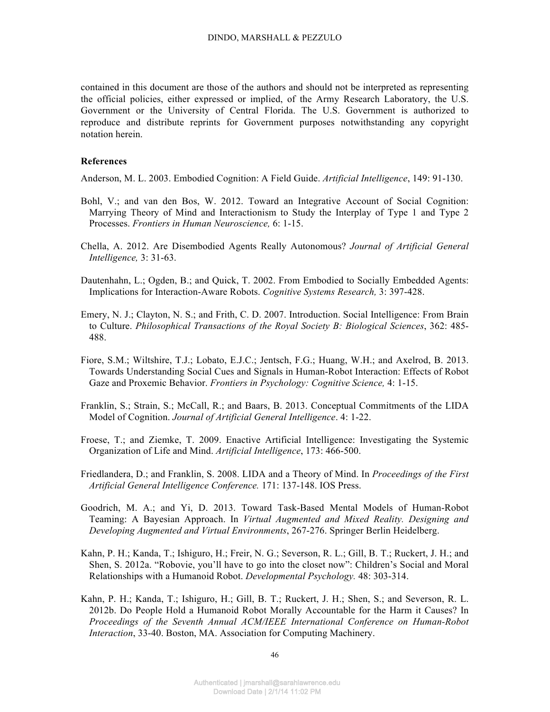contained in this document are those of the authors and should not be interpreted as representing the official policies, either expressed or implied, of the Army Research Laboratory, the U.S. Government or the University of Central Florida. The U.S. Government is authorized to reproduce and distribute reprints for Government purposes notwithstanding any copyright notation herein.

#### **References**

Anderson, M. L. 2003. Embodied Cognition: A Field Guide. *Artificial Intelligence*, 149: 91-130.

- Bohl, V.; and van den Bos, W. 2012. Toward an Integrative Account of Social Cognition: Marrying Theory of Mind and Interactionism to Study the Interplay of Type 1 and Type 2 Processes. *Frontiers in Human Neuroscience,* 6: 1-15.
- Chella, A. 2012. Are Disembodied Agents Really Autonomous? *Journal of Artificial General Intelligence,* 3: 31-63.
- Dautenhahn, L.; Ogden, B.; and Quick, T. 2002. From Embodied to Socially Embedded Agents: Implications for Interaction-Aware Robots. *Cognitive Systems Research,* 3: 397-428.
- Emery, N. J.; Clayton, N. S.; and Frith, C. D. 2007. Introduction. Social Intelligence: From Brain to Culture. *Philosophical Transactions of the Royal Society B: Biological Sciences*, 362: 485- 488.
- Fiore, S.M.; Wiltshire, T.J.; Lobato, E.J.C.; Jentsch, F.G.; Huang, W.H.; and Axelrod, B. 2013. Towards Understanding Social Cues and Signals in Human-Robot Interaction: Effects of Robot Gaze and Proxemic Behavior. *Frontiers in Psychology: Cognitive Science,* 4: 1-15.
- Franklin, S.; Strain, S.; McCall, R.; and Baars, B. 2013. Conceptual Commitments of the LIDA Model of Cognition. *Journal of Artificial General Intelligence*. 4: 1-22.
- Froese, T.; and Ziemke, T. 2009. Enactive Artificial Intelligence: Investigating the Systemic Organization of Life and Mind. *Artificial Intelligence*, 173: 466-500.
- Friedlandera, D.; and Franklin, S. 2008. LIDA and a Theory of Mind. In *Proceedings of the First Artificial General Intelligence Conference.* 171: 137-148. IOS Press.
- Goodrich, M. A.; and Yi, D. 2013. Toward Task-Based Mental Models of Human-Robot Teaming: A Bayesian Approach. In *Virtual Augmented and Mixed Reality. Designing and Developing Augmented and Virtual Environments*, 267-276. Springer Berlin Heidelberg.
- Kahn, P. H.; Kanda, T.; Ishiguro, H.; Freir, N. G.; Severson, R. L.; Gill, B. T.; Ruckert, J. H.; and Shen, S. 2012a. "Robovie, you'll have to go into the closet now": Children's Social and Moral Relationships with a Humanoid Robot. *Developmental Psychology.* 48: 303-314.
- Kahn, P. H.; Kanda, T.; Ishiguro, H.; Gill, B. T.; Ruckert, J. H.; Shen, S.; and Severson, R. L. 2012b. Do People Hold a Humanoid Robot Morally Accountable for the Harm it Causes? In *Proceedings of the Seventh Annual ACM/IEEE International Conference on Human-Robot Interaction*, 33-40. Boston, MA. Association for Computing Machinery.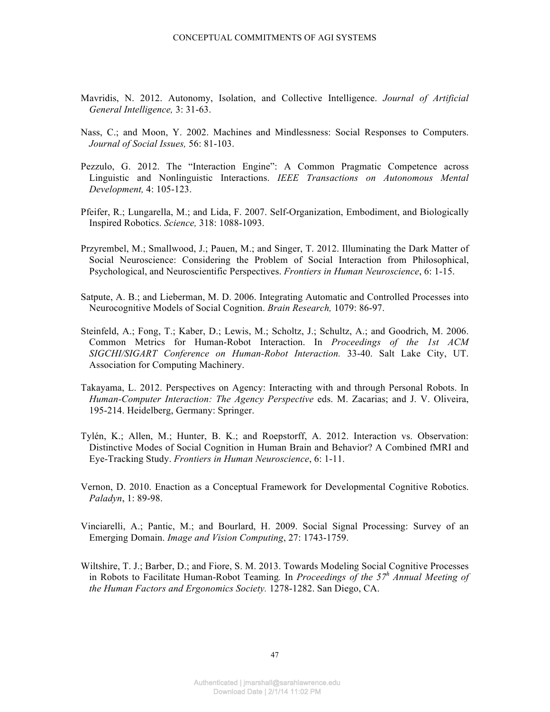- Mavridis, N. 2012. Autonomy, Isolation, and Collective Intelligence. *Journal of Artificial General Intelligence,* 3: 31-63.
- Nass, C.; and Moon, Y. 2002. Machines and Mindlessness: Social Responses to Computers. *Journal of Social Issues,* 56: 81-103.
- Pezzulo, G. 2012. The "Interaction Engine": A Common Pragmatic Competence across Linguistic and Nonlinguistic Interactions. *IEEE Transactions on Autonomous Mental Development,* 4: 105-123.
- Pfeifer, R.; Lungarella, M.; and Lida, F. 2007. Self-Organization, Embodiment, and Biologically Inspired Robotics. *Science,* 318: 1088-1093.
- Przyrembel, M.; Smallwood, J.; Pauen, M.; and Singer, T. 2012. Illuminating the Dark Matter of Social Neuroscience: Considering the Problem of Social Interaction from Philosophical, Psychological, and Neuroscientific Perspectives. *Frontiers in Human Neuroscience*, 6: 1-15.
- Satpute, A. B.; and Lieberman, M. D. 2006. Integrating Automatic and Controlled Processes into Neurocognitive Models of Social Cognition. *Brain Research,* 1079: 86-97.
- Steinfeld, A.; Fong, T.; Kaber, D.; Lewis, M.; Scholtz, J.; Schultz, A.; and Goodrich, M. 2006. Common Metrics for Human-Robot Interaction. In *Proceedings of the 1st ACM SIGCHI/SIGART Conference on Human-Robot Interaction.* 33-40. Salt Lake City, UT. Association for Computing Machinery.
- Takayama, L. 2012. Perspectives on Agency: Interacting with and through Personal Robots. In *Human-Computer Interaction: The Agency Perspective* eds. M. Zacarias; and J. V. Oliveira, 195-214. Heidelberg, Germany: Springer.
- Tylén, K.; Allen, M.; Hunter, B. K.; and Roepstorff, A. 2012. Interaction vs. Observation: Distinctive Modes of Social Cognition in Human Brain and Behavior? A Combined fMRI and Eye-Tracking Study. *Frontiers in Human Neuroscience*, 6: 1-11.
- Vernon, D. 2010. Enaction as a Conceptual Framework for Developmental Cognitive Robotics. *Paladyn*, 1: 89-98.
- Vinciarelli, A.; Pantic, M.; and Bourlard, H. 2009. Social Signal Processing: Survey of an Emerging Domain. *Image and Vision Computing*, 27: 1743-1759.
- Wiltshire, T. J.; Barber, D.; and Fiore, S. M. 2013. Towards Modeling Social Cognitive Processes in Robots to Facilitate Human-Robot Teaming*.* In *Proceedings of the 57<sup>h</sup> Annual Meeting of the Human Factors and Ergonomics Society.* 1278-1282. San Diego, CA.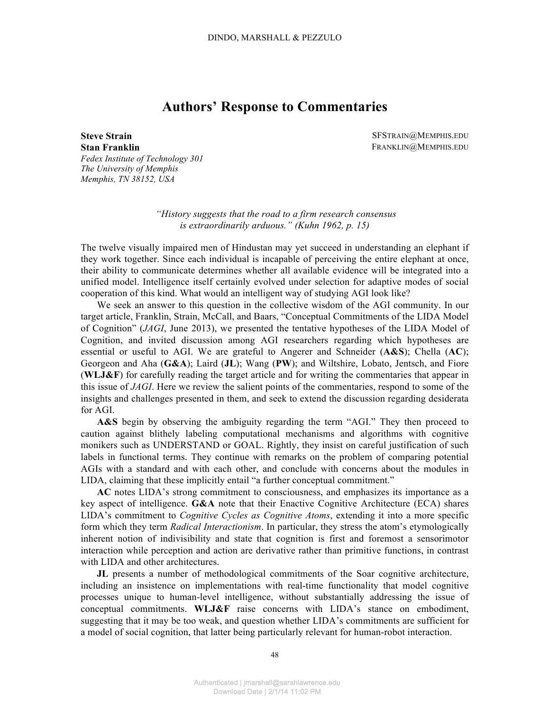# **Authors' Response to Commentaries**

**Stan Franklin** *Fedex Institute of Technology 301 The University of Memphis Memphis, TN 38152, USA*

**Steve Strain** SFSTRAIN@MEMPHIS.EDU FRANKLIN@MEMPHIS.EDU

> *"History suggests that the road to a firm research consensus is extraordinarily arduous." (Kuhn 1962, p. 15)*

The twelve visually impaired men of Hindustan may yet succeed in understanding an elephant if they work together. Since each individual is incapable of perceiving the entire elephant at once, their ability to communicate determines whether all available evidence will be integrated into a unified model. Intelligence itself certainly evolved under selection for adaptive modes of social cooperation of this kind. What would an intelligent way of studying AGI look like?

We seek an answer to this question in the collective wisdom of the AGI community. In our target article, Franklin, Strain, McCall, and Baars, "Conceptual Commitments of the LIDA Model of Cognition" (*JAGI*, June 2013), we presented the tentative hypotheses of the LIDA Model of Cognition, and invited discussion among AGI researchers regarding which hypotheses are essential or useful to AGI. We are grateful to Angerer and Schneider (**A&S**); Chella (**AC**); Georgeon and Aha (**G&A**); Laird (**JL**); Wang (**PW**); and Wiltshire, Lobato, Jentsch, and Fiore (**WLJ&F**) for carefully reading the target article and for writing the commentaries that appear in this issue of *JAGI*. Here we review the salient points of the commentaries, respond to some of the insights and challenges presented in them, and seek to extend the discussion regarding desiderata for AGI.

**A&S** begin by observing the ambiguity regarding the term "AGI." They then proceed to caution against blithely labeling computational mechanisms and algorithms with cognitive monikers such as UNDERSTAND or GOAL. Rightly, they insist on careful justification of such labels in functional terms. They continue with remarks on the problem of comparing potential AGIs with a standard and with each other, and conclude with concerns about the modules in LIDA, claiming that these implicitly entail "a further conceptual commitment."

**AC** notes LIDA's strong commitment to consciousness, and emphasizes its importance as a key aspect of intelligence. **G&A** note that their Enactive Cognitive Architecture (ECA) shares LIDA's commitment to *Cognitive Cycles as Cognitive Atoms*, extending it into a more specific form which they term *Radical Interactionism*. In particular, they stress the atom's etymologically inherent notion of indivisibility and state that cognition is first and foremost a sensorimotor interaction while perception and action are derivative rather than primitive functions, in contrast with LIDA and other architectures.

**JL** presents a number of methodological commitments of the Soar cognitive architecture, including an insistence on implementations with real-time functionality that model cognitive processes unique to human-level intelligence, without substantially addressing the issue of conceptual commitments. **WLJ&F** raise concerns with LIDA's stance on embodiment, suggesting that it may be too weak, and question whether LIDA's commitments are sufficient for a model of social cognition, that latter being particularly relevant for human-robot interaction.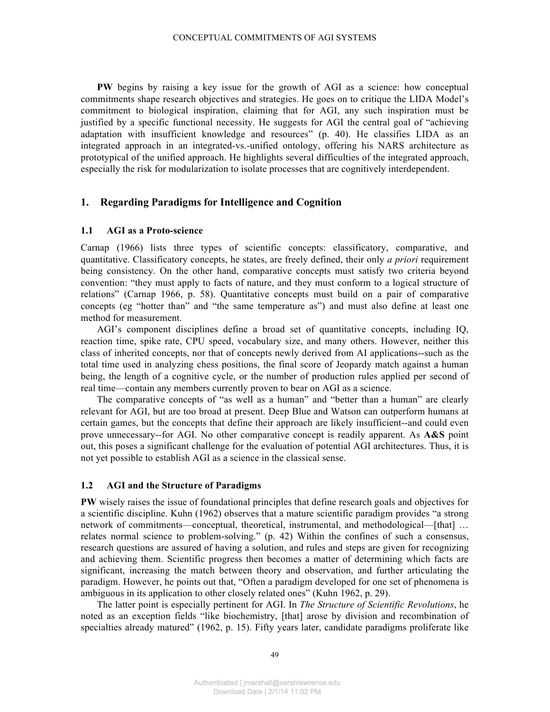**PW** begins by raising a key issue for the growth of AGI as a science: how conceptual commitments shape research objectives and strategies. He goes on to critique the LIDA Model's commitment to biological inspiration, claiming that for AGI, any such inspiration must be justified by a specific functional necessity. He suggests for AGI the central goal of "achieving adaptation with insufficient knowledge and resources" (p. 40). He classifies LIDA as an integrated approach in an integrated-vs.-unified ontology, offering his NARS architecture as prototypical of the unified approach. He highlights several difficulties of the integrated approach, especially the risk for modularization to isolate processes that are cognitively interdependent.

# **1. Regarding Paradigms for Intelligence and Cognition**

### **1.1 AGI as a Proto-science**

Carnap (1966) lists three types of scientific concepts: classificatory, comparative, and quantitative. Classificatory concepts, he states, are freely defined, their only *a priori* requirement being consistency. On the other hand, comparative concepts must satisfy two criteria beyond convention: "they must apply to facts of nature, and they must conform to a logical structure of relations" (Carnap 1966, p. 58). Quantitative concepts must build on a pair of comparative concepts (eg "hotter than" and "the same temperature as") and must also define at least one method for measurement.

AGI's component disciplines define a broad set of quantitative concepts, including IQ, reaction time, spike rate, CPU speed, vocabulary size, and many others. However, neither this class of inherited concepts, nor that of concepts newly derived from AI applications--such as the total time used in analyzing chess positions, the final score of Jeopardy match against a human being, the length of a cognitive cycle, or the number of production rules applied per second of real time—contain any members currently proven to bear on AGI as a science.

The comparative concepts of "as well as a human" and "better than a human" are clearly relevant for AGI, but are too broad at present. Deep Blue and Watson can outperform humans at certain games, but the concepts that define their approach are likely insufficient--and could even prove unnecessary--for AGI. No other comparative concept is readily apparent. As **A&S** point out, this poses a significant challenge for the evaluation of potential AGI architectures. Thus, it is not yet possible to establish AGI as a science in the classical sense.

### **1.2 AGI and the Structure of Paradigms**

**PW** wisely raises the issue of foundational principles that define research goals and objectives for a scientific discipline. Kuhn (1962) observes that a mature scientific paradigm provides "a strong network of commitments—conceptual, theoretical, instrumental, and methodological—[that] ... relates normal science to problem-solving." (p. 42) Within the confines of such a consensus, research questions are assured of having a solution, and rules and steps are given for recognizing and achieving them. Scientific progress then becomes a matter of determining which facts are significant, increasing the match between theory and observation, and further articulating the paradigm. However, he points out that, "Often a paradigm developed for one set of phenomena is ambiguous in its application to other closely related ones" (Kuhn 1962, p. 29).

The latter point is especially pertinent for AGI. In *The Structure of Scientific Revolutions*, he noted as an exception fields "like biochemistry, [that] arose by division and recombination of specialties already matured" (1962, p. 15). Fifty years later, candidate paradigms proliferate like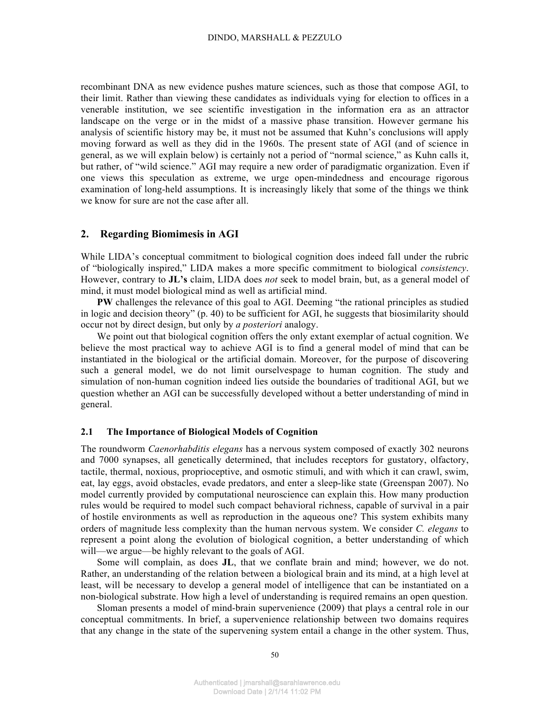recombinant DNA as new evidence pushes mature sciences, such as those that compose AGI, to their limit. Rather than viewing these candidates as individuals vying for election to offices in a venerable institution, we see scientific investigation in the information era as an attractor landscape on the verge or in the midst of a massive phase transition. However germane his analysis of scientific history may be, it must not be assumed that Kuhn's conclusions will apply moving forward as well as they did in the 1960s. The present state of AGI (and of science in general, as we will explain below) is certainly not a period of "normal science," as Kuhn calls it, but rather, of "wild science." AGI may require a new order of paradigmatic organization. Even if one views this speculation as extreme, we urge open-mindedness and encourage rigorous examination of long-held assumptions. It is increasingly likely that some of the things we think we know for sure are not the case after all.

# **2. Regarding Biomimesis in AGI**

While LIDA's conceptual commitment to biological cognition does indeed fall under the rubric of "biologically inspired," LIDA makes a more specific commitment to biological *consistency*. However, contrary to **JL's** claim, LIDA does *not* seek to model brain, but, as a general model of mind, it must model biological mind as well as artificial mind.

**PW** challenges the relevance of this goal to AGI. Deeming "the rational principles as studied in logic and decision theory" (p. 40) to be sufficient for AGI, he suggests that biosimilarity should occur not by direct design, but only by *a posteriori* analogy.

We point out that biological cognition offers the only extant exemplar of actual cognition. We believe the most practical way to achieve AGI is to find a general model of mind that can be instantiated in the biological or the artificial domain. Moreover, for the purpose of discovering such a general model, we do not limit ourselvespage to human cognition. The study and simulation of non-human cognition indeed lies outside the boundaries of traditional AGI, but we question whether an AGI can be successfully developed without a better understanding of mind in general.

## **2.1 The Importance of Biological Models of Cognition**

The roundworm *Caenorhabditis elegans* has a nervous system composed of exactly 302 neurons and 7000 synapses, all genetically determined, that includes receptors for gustatory, olfactory, tactile, thermal, noxious, proprioceptive, and osmotic stimuli, and with which it can crawl, swim, eat, lay eggs, avoid obstacles, evade predators, and enter a sleep-like state (Greenspan 2007). No model currently provided by computational neuroscience can explain this. How many production rules would be required to model such compact behavioral richness, capable of survival in a pair of hostile environments as well as reproduction in the aqueous one? This system exhibits many orders of magnitude less complexity than the human nervous system. We consider *C. elegans* to represent a point along the evolution of biological cognition, a better understanding of which will—we argue—be highly relevant to the goals of AGI.

Some will complain, as does **JL**, that we conflate brain and mind; however, we do not. Rather, an understanding of the relation between a biological brain and its mind, at a high level at least, will be necessary to develop a general model of intelligence that can be instantiated on a non-biological substrate. How high a level of understanding is required remains an open question.

Sloman presents a model of mind-brain supervenience (2009) that plays a central role in our conceptual commitments. In brief, a supervenience relationship between two domains requires that any change in the state of the supervening system entail a change in the other system. Thus,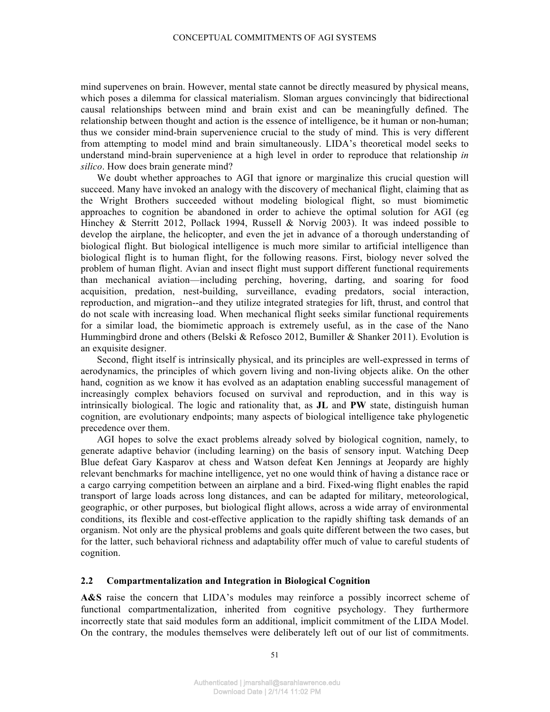mind supervenes on brain. However, mental state cannot be directly measured by physical means, which poses a dilemma for classical materialism. Sloman argues convincingly that bidirectional causal relationships between mind and brain exist and can be meaningfully defined. The relationship between thought and action is the essence of intelligence, be it human or non-human; thus we consider mind-brain supervenience crucial to the study of mind. This is very different from attempting to model mind and brain simultaneously. LIDA's theoretical model seeks to understand mind-brain supervenience at a high level in order to reproduce that relationship *in silico*. How does brain generate mind?

We doubt whether approaches to AGI that ignore or marginalize this crucial question will succeed. Many have invoked an analogy with the discovery of mechanical flight, claiming that as the Wright Brothers succeeded without modeling biological flight, so must biomimetic approaches to cognition be abandoned in order to achieve the optimal solution for AGI (eg Hinchey & Sterritt 2012, Pollack 1994, Russell & Norvig 2003). It was indeed possible to develop the airplane, the helicopter, and even the jet in advance of a thorough understanding of biological flight. But biological intelligence is much more similar to artificial intelligence than biological flight is to human flight, for the following reasons. First, biology never solved the problem of human flight. Avian and insect flight must support different functional requirements than mechanical aviation—including perching, hovering, darting, and soaring for food acquisition, predation, nest-building, surveillance, evading predators, social interaction, reproduction, and migration--and they utilize integrated strategies for lift, thrust, and control that do not scale with increasing load. When mechanical flight seeks similar functional requirements for a similar load, the biomimetic approach is extremely useful, as in the case of the Nano Hummingbird drone and others (Belski & Refosco 2012, Bumiller & Shanker 2011). Evolution is an exquisite designer.

Second, flight itself is intrinsically physical, and its principles are well-expressed in terms of aerodynamics, the principles of which govern living and non-living objects alike. On the other hand, cognition as we know it has evolved as an adaptation enabling successful management of increasingly complex behaviors focused on survival and reproduction, and in this way is intrinsically biological. The logic and rationality that, as **JL** and **PW** state, distinguish human cognition, are evolutionary endpoints; many aspects of biological intelligence take phylogenetic precedence over them.

AGI hopes to solve the exact problems already solved by biological cognition, namely, to generate adaptive behavior (including learning) on the basis of sensory input. Watching Deep Blue defeat Gary Kasparov at chess and Watson defeat Ken Jennings at Jeopardy are highly relevant benchmarks for machine intelligence, yet no one would think of having a distance race or a cargo carrying competition between an airplane and a bird. Fixed-wing flight enables the rapid transport of large loads across long distances, and can be adapted for military, meteorological, geographic, or other purposes, but biological flight allows, across a wide array of environmental conditions, its flexible and cost-effective application to the rapidly shifting task demands of an organism. Not only are the physical problems and goals quite different between the two cases, but for the latter, such behavioral richness and adaptability offer much of value to careful students of cognition.

## **2.2 Compartmentalization and Integration in Biological Cognition**

**A&S** raise the concern that LIDA's modules may reinforce a possibly incorrect scheme of functional compartmentalization, inherited from cognitive psychology. They furthermore incorrectly state that said modules form an additional, implicit commitment of the LIDA Model. On the contrary, the modules themselves were deliberately left out of our list of commitments.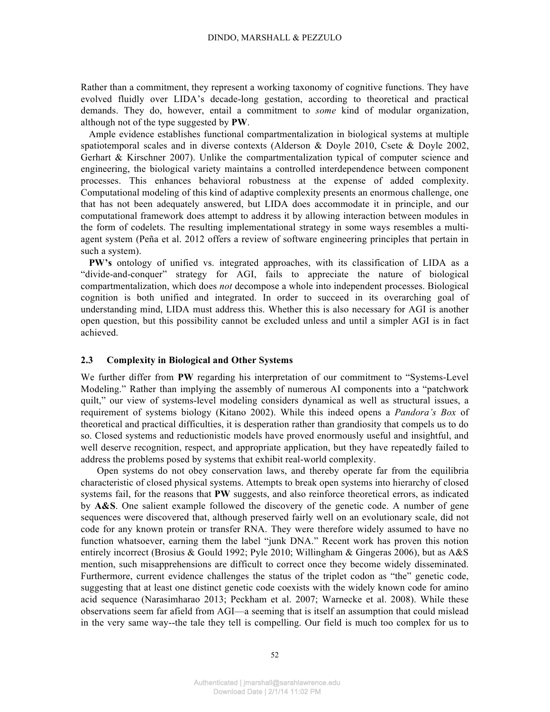Rather than a commitment, they represent a working taxonomy of cognitive functions. They have evolved fluidly over LIDA's decade-long gestation, according to theoretical and practical demands. They do, however, entail a commitment to *some* kind of modular organization, although not of the type suggested by **PW**.

Ample evidence establishes functional compartmentalization in biological systems at multiple spatiotemporal scales and in diverse contexts (Alderson & Doyle 2010, Csete & Doyle 2002, Gerhart & Kirschner 2007). Unlike the compartmentalization typical of computer science and engineering, the biological variety maintains a controlled interdependence between component processes. This enhances behavioral robustness at the expense of added complexity. Computational modeling of this kind of adaptive complexity presents an enormous challenge, one that has not been adequately answered, but LIDA does accommodate it in principle, and our computational framework does attempt to address it by allowing interaction between modules in the form of codelets. The resulting implementational strategy in some ways resembles a multiagent system (Peña et al. 2012 offers a review of software engineering principles that pertain in such a system).

**PW's** ontology of unified vs. integrated approaches, with its classification of LIDA as a "divide-and-conquer" strategy for AGI, fails to appreciate the nature of biological compartmentalization, which does *not* decompose a whole into independent processes. Biological cognition is both unified and integrated. In order to succeed in its overarching goal of understanding mind, LIDA must address this. Whether this is also necessary for AGI is another open question, but this possibility cannot be excluded unless and until a simpler AGI is in fact achieved.

## **2.3 Complexity in Biological and Other Systems**

We further differ from **PW** regarding his interpretation of our commitment to "Systems-Level Modeling." Rather than implying the assembly of numerous AI components into a "patchwork quilt," our view of systems-level modeling considers dynamical as well as structural issues, a requirement of systems biology (Kitano 2002). While this indeed opens a *Pandora's Box* of theoretical and practical difficulties, it is desperation rather than grandiosity that compels us to do so. Closed systems and reductionistic models have proved enormously useful and insightful, and well deserve recognition, respect, and appropriate application, but they have repeatedly failed to address the problems posed by systems that exhibit real-world complexity.

Open systems do not obey conservation laws, and thereby operate far from the equilibria characteristic of closed physical systems. Attempts to break open systems into hierarchy of closed systems fail, for the reasons that **PW** suggests, and also reinforce theoretical errors, as indicated by **A&S**. One salient example followed the discovery of the genetic code. A number of gene sequences were discovered that, although preserved fairly well on an evolutionary scale, did not code for any known protein or transfer RNA. They were therefore widely assumed to have no function whatsoever, earning them the label "junk DNA." Recent work has proven this notion entirely incorrect (Brosius & Gould 1992; Pyle 2010; Willingham & Gingeras 2006), but as A&S mention, such misapprehensions are difficult to correct once they become widely disseminated. Furthermore, current evidence challenges the status of the triplet codon as "the" genetic code, suggesting that at least one distinct genetic code coexists with the widely known code for amino acid sequence (Narasimharao 2013; Peckham et al. 2007; Warnecke et al. 2008). While these observations seem far afield from AGI—a seeming that is itself an assumption that could mislead in the very same way--the tale they tell is compelling. Our field is much too complex for us to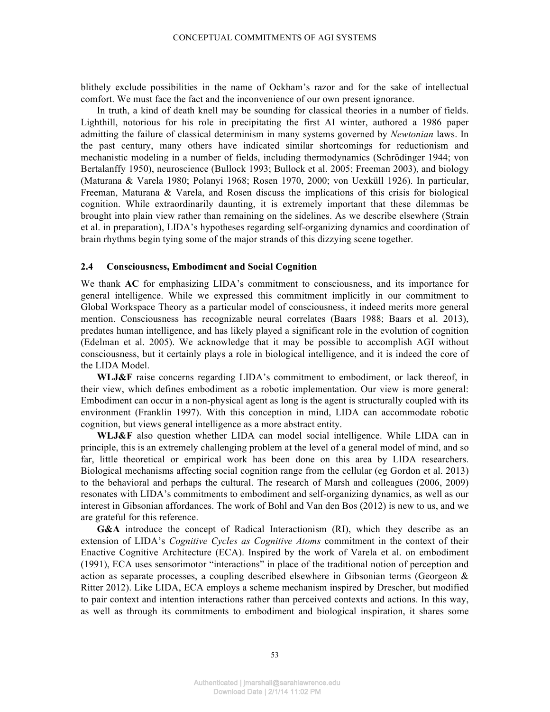blithely exclude possibilities in the name of Ockham's razor and for the sake of intellectual comfort. We must face the fact and the inconvenience of our own present ignorance.

In truth, a kind of death knell may be sounding for classical theories in a number of fields. Lighthill, notorious for his role in precipitating the first AI winter, authored a 1986 paper admitting the failure of classical determinism in many systems governed by *Newtonian* laws. In the past century, many others have indicated similar shortcomings for reductionism and mechanistic modeling in a number of fields, including thermodynamics (Schrödinger 1944; von Bertalanffy 1950), neuroscience (Bullock 1993; Bullock et al. 2005; Freeman 2003), and biology (Maturana & Varela 1980; Polanyi 1968; Rosen 1970, 2000; von Uexküll 1926). In particular, Freeman, Maturana & Varela, and Rosen discuss the implications of this crisis for biological cognition. While extraordinarily daunting, it is extremely important that these dilemmas be brought into plain view rather than remaining on the sidelines. As we describe elsewhere (Strain et al. in preparation), LIDA's hypotheses regarding self-organizing dynamics and coordination of brain rhythms begin tying some of the major strands of this dizzying scene together.

## **2.4 Consciousness, Embodiment and Social Cognition**

We thank **AC** for emphasizing LIDA's commitment to consciousness, and its importance for general intelligence. While we expressed this commitment implicitly in our commitment to Global Workspace Theory as a particular model of consciousness, it indeed merits more general mention. Consciousness has recognizable neural correlates (Baars 1988; Baars et al. 2013), predates human intelligence, and has likely played a significant role in the evolution of cognition (Edelman et al. 2005). We acknowledge that it may be possible to accomplish AGI without consciousness, but it certainly plays a role in biological intelligence, and it is indeed the core of the LIDA Model.

**WLJ&F** raise concerns regarding LIDA's commitment to embodiment, or lack thereof, in their view, which defines embodiment as a robotic implementation. Our view is more general: Embodiment can occur in a non-physical agent as long is the agent is structurally coupled with its environment (Franklin 1997). With this conception in mind, LIDA can accommodate robotic cognition, but views general intelligence as a more abstract entity.

**WLJ&F** also question whether LIDA can model social intelligence. While LIDA can in principle, this is an extremely challenging problem at the level of a general model of mind, and so far, little theoretical or empirical work has been done on this area by LIDA researchers. Biological mechanisms affecting social cognition range from the cellular (eg Gordon et al. 2013) to the behavioral and perhaps the cultural. The research of Marsh and colleagues (2006, 2009) resonates with LIDA's commitments to embodiment and self-organizing dynamics, as well as our interest in Gibsonian affordances. The work of Bohl and Van den Bos (2012) is new to us, and we are grateful for this reference.

**G&A** introduce the concept of Radical Interactionism (RI), which they describe as an extension of LIDA's *Cognitive Cycles as Cognitive Atoms* commitment in the context of their Enactive Cognitive Architecture (ECA). Inspired by the work of Varela et al. on embodiment (1991), ECA uses sensorimotor "interactions" in place of the traditional notion of perception and action as separate processes, a coupling described elsewhere in Gibsonian terms (Georgeon  $\&$ Ritter 2012). Like LIDA, ECA employs a scheme mechanism inspired by Drescher, but modified to pair context and intention interactions rather than perceived contexts and actions. In this way, as well as through its commitments to embodiment and biological inspiration, it shares some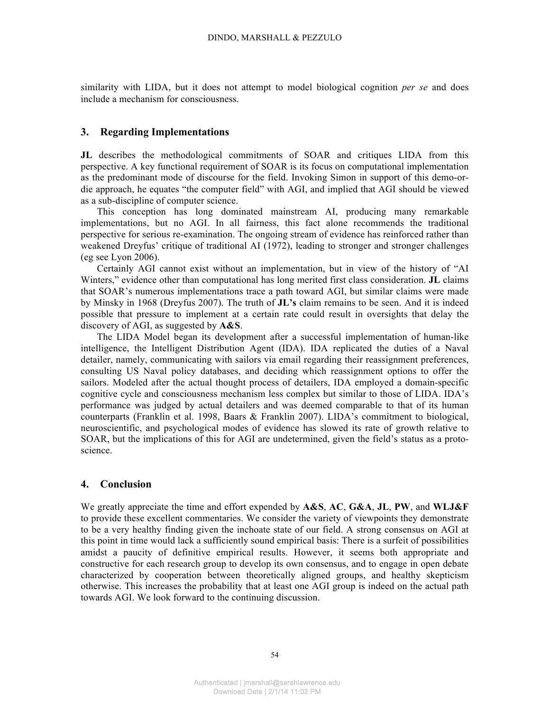similarity with LIDA, but it does not attempt to model biological cognition *per se* and does include a mechanism for consciousness.

## **3. Regarding Implementations**

**JL** describes the methodological commitments of SOAR and critiques LIDA from this perspective. A key functional requirement of SOAR is its focus on computational implementation as the predominant mode of discourse for the field. Invoking Simon in support of this demo-ordie approach, he equates "the computer field" with AGI, and implied that AGI should be viewed as a sub-discipline of computer science.

This conception has long dominated mainstream AI, producing many remarkable implementations, but no AGI. In all fairness, this fact alone recommends the traditional perspective for serious re-examination. The ongoing stream of evidence has reinforced rather than weakened Dreyfus' critique of traditional AI (1972), leading to stronger and stronger challenges (eg see Lyon 2006).

Certainly AGI cannot exist without an implementation, but in view of the history of "AI Winters," evidence other than computational has long merited first class consideration. **JL** claims that SOAR's numerous implementations trace a path toward AGI, but similar claims were made by Minsky in 1968 (Dreyfus 2007). The truth of **JL's** claim remains to be seen. And it is indeed possible that pressure to implement at a certain rate could result in oversights that delay the discovery of AGI, as suggested by **A&S**.

The LIDA Model began its development after a successful implementation of human-like intelligence, the Intelligent Distribution Agent (IDA). IDA replicated the duties of a Naval detailer, namely, communicating with sailors via email regarding their reassignment preferences, consulting US Naval policy databases, and deciding which reassignment options to offer the sailors. Modeled after the actual thought process of detailers, IDA employed a domain-specific cognitive cycle and consciousness mechanism less complex but similar to those of LIDA. IDA's performance was judged by actual detailers and was deemed comparable to that of its human counterparts (Franklin et al. 1998, Baars & Franklin 2007). LIDA's commitment to biological, neuroscientific, and psychological modes of evidence has slowed its rate of growth relative to SOAR, but the implications of this for AGI are undetermined, given the field's status as a protoscience.

## **4. Conclusion**

We greatly appreciate the time and effort expended by **A&S**, **AC**, **G&A**, **JL**, **PW**, and **WLJ&F** to provide these excellent commentaries. We consider the variety of viewpoints they demonstrate to be a very healthy finding given the inchoate state of our field. A strong consensus on AGI at this point in time would lack a sufficiently sound empirical basis: There is a surfeit of possibilities amidst a paucity of definitive empirical results. However, it seems both appropriate and constructive for each research group to develop its own consensus, and to engage in open debate characterized by cooperation between theoretically aligned groups, and healthy skepticism otherwise. This increases the probability that at least one AGI group is indeed on the actual path towards AGI. We look forward to the continuing discussion.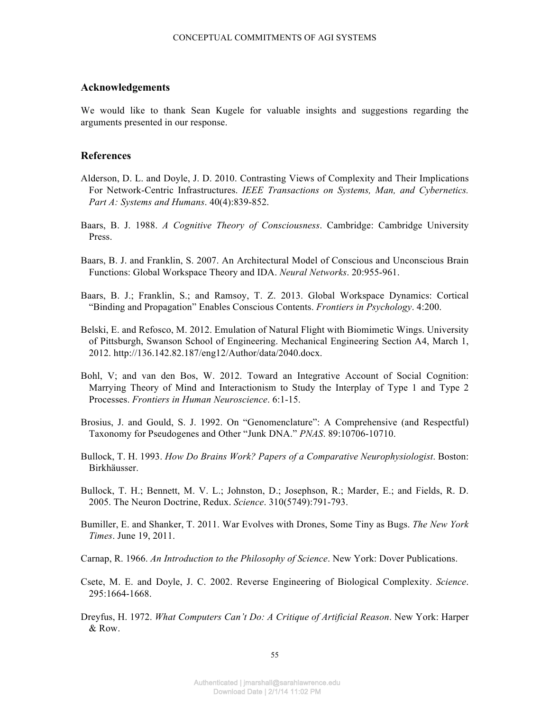### **Acknowledgements**

We would like to thank Sean Kugele for valuable insights and suggestions regarding the arguments presented in our response.

# **References**

- Alderson, D. L. and Doyle, J. D. 2010. Contrasting Views of Complexity and Their Implications For Network-Centric Infrastructures. *IEEE Transactions on Systems, Man, and Cybernetics. Part A: Systems and Humans*. 40(4):839-852.
- Baars, B. J. 1988. *A Cognitive Theory of Consciousness*. Cambridge: Cambridge University Press.
- Baars, B. J. and Franklin, S. 2007. An Architectural Model of Conscious and Unconscious Brain Functions: Global Workspace Theory and IDA. *Neural Networks*. 20:955-961.
- Baars, B. J.; Franklin, S.; and Ramsoy, T. Z. 2013. Global Workspace Dynamics: Cortical "Binding and Propagation" Enables Conscious Contents. *Frontiers in Psychology*. 4:200.
- Belski, E. and Refosco, M. 2012. Emulation of Natural Flight with Biomimetic Wings. University of Pittsburgh, Swanson School of Engineering. Mechanical Engineering Section A4, March 1, 2012. http://136.142.82.187/eng12/Author/data/2040.docx.
- Bohl, V; and van den Bos, W. 2012. Toward an Integrative Account of Social Cognition: Marrying Theory of Mind and Interactionism to Study the Interplay of Type 1 and Type 2 Processes. *Frontiers in Human Neuroscience*. 6:1-15.
- Brosius, J. and Gould, S. J. 1992. On "Genomenclature": A Comprehensive (and Respectful) Taxonomy for Pseudogenes and Other "Junk DNA." *PNAS*. 89:10706-10710.
- Bullock, T. H. 1993. *How Do Brains Work? Papers of a Comparative Neurophysiologist*. Boston: Birkhäusser.
- Bullock, T. H.; Bennett, M. V. L.; Johnston, D.; Josephson, R.; Marder, E.; and Fields, R. D. 2005. The Neuron Doctrine, Redux. *Science*. 310(5749):791-793.
- Bumiller, E. and Shanker, T. 2011. War Evolves with Drones, Some Tiny as Bugs. *The New York Times*. June 19, 2011.
- Carnap, R. 1966. *An Introduction to the Philosophy of Science*. New York: Dover Publications.
- Csete, M. E. and Doyle, J. C. 2002. Reverse Engineering of Biological Complexity. *Science*. 295:1664-1668.
- Dreyfus, H. 1972. *What Computers Can't Do: A Critique of Artificial Reason*. New York: Harper & Row.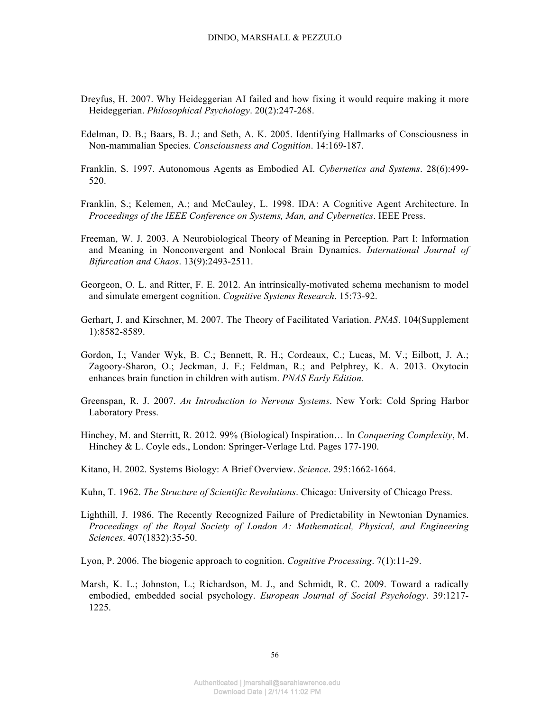- Dreyfus, H. 2007. Why Heideggerian AI failed and how fixing it would require making it more Heideggerian. *Philosophical Psychology*. 20(2):247-268.
- Edelman, D. B.; Baars, B. J.; and Seth, A. K. 2005. Identifying Hallmarks of Consciousness in Non-mammalian Species. *Consciousness and Cognition*. 14:169-187.
- Franklin, S. 1997. Autonomous Agents as Embodied AI. *Cybernetics and Systems*. 28(6):499- 520.
- Franklin, S.; Kelemen, A.; and McCauley, L. 1998. IDA: A Cognitive Agent Architecture. In *Proceedings of the IEEE Conference on Systems, Man, and Cybernetics*. IEEE Press.
- Freeman, W. J. 2003. A Neurobiological Theory of Meaning in Perception. Part I: Information and Meaning in Nonconvergent and Nonlocal Brain Dynamics. *International Journal of Bifurcation and Chaos*. 13(9):2493-2511.
- Georgeon, O. L. and Ritter, F. E. 2012. An intrinsically-motivated schema mechanism to model and simulate emergent cognition. *Cognitive Systems Research*. 15:73-92.
- Gerhart, J. and Kirschner, M. 2007. The Theory of Facilitated Variation. *PNAS*. 104(Supplement 1):8582-8589.
- Gordon, I.; Vander Wyk, B. C.; Bennett, R. H.; Cordeaux, C.; Lucas, M. V.; Eilbott, J. A.; Zagoory-Sharon, O.; Jeckman, J. F.; Feldman, R.; and Pelphrey, K. A. 2013. Oxytocin enhances brain function in children with autism. *PNAS Early Edition*.
- Greenspan, R. J. 2007. *An Introduction to Nervous Systems*. New York: Cold Spring Harbor Laboratory Press.
- Hinchey, M. and Sterritt, R. 2012. 99% (Biological) Inspiration… In *Conquering Complexity*, M. Hinchey & L. Coyle eds., London: Springer-Verlage Ltd. Pages 177-190.
- Kitano, H. 2002. Systems Biology: A Brief Overview. *Science*. 295:1662-1664.
- Kuhn, T. 1962. *The Structure of Scientific Revolutions*. Chicago: University of Chicago Press.
- Lighthill, J. 1986. The Recently Recognized Failure of Predictability in Newtonian Dynamics. *Proceedings of the Royal Society of London A: Mathematical, Physical, and Engineering Sciences*. 407(1832):35-50.
- Lyon, P. 2006. The biogenic approach to cognition. *Cognitive Processing*. 7(1):11-29.
- Marsh, K. L.; Johnston, L.; Richardson, M. J., and Schmidt, R. C. 2009. Toward a radically embodied, embedded social psychology. *European Journal of Social Psychology*. 39:1217- 1225.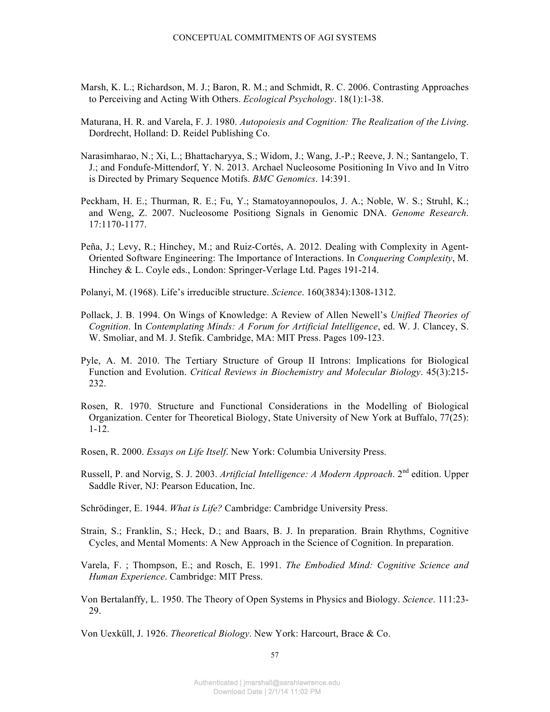- Marsh, K. L.; Richardson, M. J.; Baron, R. M.; and Schmidt, R. C. 2006. Contrasting Approaches to Perceiving and Acting With Others. *Ecological Psychology*. 18(1):1-38.
- Maturana, H. R. and Varela, F. J. 1980. *Autopoiesis and Cognition: The Realization of the Living*. Dordrecht, Holland: D. Reidel Publishing Co.
- Narasimharao, N.; Xi, L.; Bhattacharyya, S.; Widom, J.; Wang, J.-P.; Reeve, J. N.; Santangelo, T. J.; and Fondufe-Mittendorf, Y. N. 2013. Archael Nucleosome Positioning In Vivo and In Vitro is Directed by Primary Sequence Motifs. *BMC Genomics*. 14:391.
- Peckham, H. E.; Thurman, R. E.; Fu, Y.; Stamatoyannopoulos, J. A.; Noble, W. S.; Struhl, K.; and Weng, Z. 2007. Nucleosome Positiong Signals in Genomic DNA. *Genome Research*. 17:1170-1177.
- Peña, J.; Levy, R.; Hinchey, M.; and Ruiz-Cortés, A. 2012. Dealing with Complexity in Agent-Oriented Software Engineering: The Importance of Interactions. In *Conquering Complexity*, M. Hinchey & L. Coyle eds., London: Springer-Verlage Ltd. Pages 191-214.
- Polanyi, M. (1968). Life's irreducible structure. *Science*. 160(3834):1308-1312.
- Pollack, J. B. 1994. On Wings of Knowledge: A Review of Allen Newell's *Unified Theories of Cognition*. In *Contemplating Minds: A Forum for Artificial Intelligence*, ed. W. J. Clancey, S. W. Smoliar, and M. J. Stefik. Cambridge, MA: MIT Press. Pages 109-123.
- Pyle, A. M. 2010. The Tertiary Structure of Group II Introns: Implications for Biological Function and Evolution. *Critical Reviews in Biochemistry and Molecular Biology*. 45(3):215- 232.
- Rosen, R. 1970. Structure and Functional Considerations in the Modelling of Biological Organization. Center for Theoretical Biology, State University of New York at Buffalo, 77(25): 1-12.
- Rosen, R. 2000. *Essays on Life Itself*. New York: Columbia University Press.
- Russell, P. and Norvig, S. J. 2003. *Artificial Intelligence: A Modern Approach*. 2nd edition. Upper Saddle River, NJ: Pearson Education, Inc.

Schrödinger, E. 1944. *What is Life?* Cambridge: Cambridge University Press.

- Strain, S.; Franklin, S.; Heck, D.; and Baars, B. J. In preparation. Brain Rhythms, Cognitive Cycles, and Mental Moments: A New Approach in the Science of Cognition. In preparation.
- Varela, F. ; Thompson, E.; and Rosch, E. 1991. *The Embodied Mind: Cognitive Science and Human Experience*. Cambridge: MIT Press.
- Von Bertalanffy, L. 1950. The Theory of Open Systems in Physics and Biology. *Science*. 111:23- 29.

Von Uexküll, J. 1926. *Theoretical Biology*. New York: Harcourt, Brace & Co.